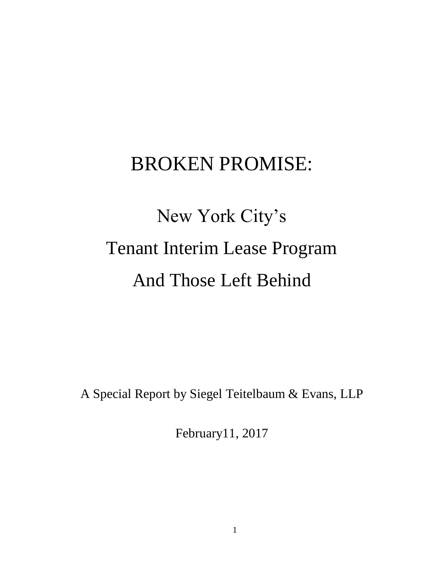## BROKEN PROMISE:

# New York City's Tenant Interim Lease Program And Those Left Behind

A Special Report by Siegel Teitelbaum & Evans, LLP

February11, 2017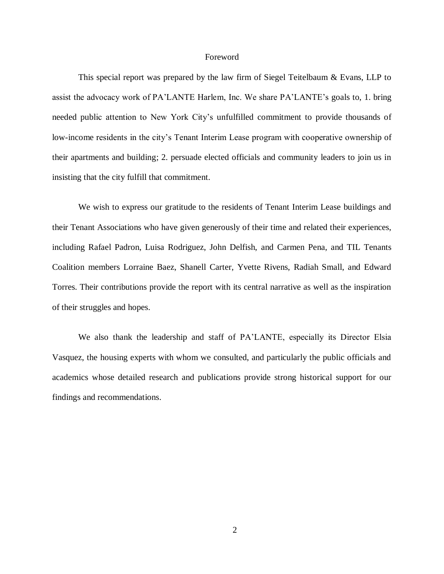#### Foreword

This special report was prepared by the law firm of Siegel Teitelbaum & Evans, LLP to assist the advocacy work of PA'LANTE Harlem, Inc. We share PA'LANTE's goals to, 1. bring needed public attention to New York City's unfulfilled commitment to provide thousands of low-income residents in the city's Tenant Interim Lease program with cooperative ownership of their apartments and building; 2. persuade elected officials and community leaders to join us in insisting that the city fulfill that commitment.

We wish to express our gratitude to the residents of Tenant Interim Lease buildings and their Tenant Associations who have given generously of their time and related their experiences, including Rafael Padron, Luisa Rodriguez, John Delfish, and Carmen Pena, and TIL Tenants Coalition members Lorraine Baez, Shanell Carter, Yvette Rivens, Radiah Small, and Edward Torres. Their contributions provide the report with its central narrative as well as the inspiration of their struggles and hopes.

We also thank the leadership and staff of PA'LANTE, especially its Director Elsia Vasquez, the housing experts with whom we consulted, and particularly the public officials and academics whose detailed research and publications provide strong historical support for our findings and recommendations.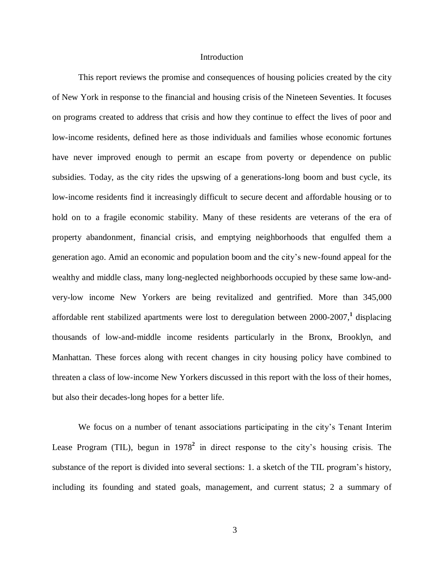#### **Introduction**

This report reviews the promise and consequences of housing policies created by the city of New York in response to the financial and housing crisis of the Nineteen Seventies. It focuses on programs created to address that crisis and how they continue to effect the lives of poor and low-income residents, defined here as those individuals and families whose economic fortunes have never improved enough to permit an escape from poverty or dependence on public subsidies. Today, as the city rides the upswing of a generations-long boom and bust cycle, its low-income residents find it increasingly difficult to secure decent and affordable housing or to hold on to a fragile economic stability. Many of these residents are veterans of the era of property abandonment, financial crisis, and emptying neighborhoods that engulfed them a generation ago. Amid an economic and population boom and the city's new-found appeal for the wealthy and middle class, many long-neglected neighborhoods occupied by these same low-andvery-low income New Yorkers are being revitalized and gentrified. More than 345,000 affordable rent stabilized apartments were lost to deregulation between 2000-2007, **1** displacing thousands of low-and-middle income residents particularly in the Bronx, Brooklyn, and Manhattan. These forces along with recent changes in city housing policy have combined to threaten a class of low-income New Yorkers discussed in this report with the loss of their homes, but also their decades-long hopes for a better life.

We focus on a number of tenant associations participating in the city's Tenant Interim Lease Program (TIL), begun in 1978**<sup>2</sup>** in direct response to the city's housing crisis. The substance of the report is divided into several sections: 1. a sketch of the TIL program's history, including its founding and stated goals, management, and current status; 2 a summary of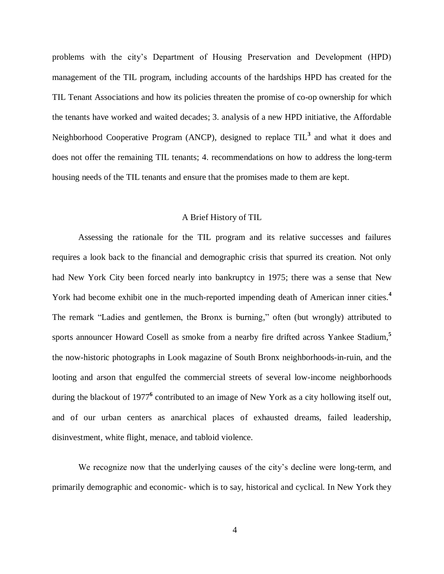problems with the city's Department of Housing Preservation and Development (HPD) management of the TIL program, including accounts of the hardships HPD has created for the TIL Tenant Associations and how its policies threaten the promise of co-op ownership for which the tenants have worked and waited decades; 3. analysis of a new HPD initiative, the Affordable Neighborhood Cooperative Program (ANCP), designed to replace TIL**<sup>3</sup>** and what it does and does not offer the remaining TIL tenants; 4. recommendations on how to address the long-term housing needs of the TIL tenants and ensure that the promises made to them are kept.

#### A Brief History of TIL

Assessing the rationale for the TIL program and its relative successes and failures requires a look back to the financial and demographic crisis that spurred its creation. Not only had New York City been forced nearly into bankruptcy in 1975; there was a sense that New York had become exhibit one in the much-reported impending death of American inner cities.**<sup>4</sup>** The remark "Ladies and gentlemen, the Bronx is burning," often (but wrongly) attributed to sports announcer Howard Cosell as smoke from a nearby fire drifted across Yankee Stadium, **5** the now-historic photographs in Look magazine of South Bronx neighborhoods-in-ruin, and the looting and arson that engulfed the commercial streets of several low-income neighborhoods during the blackout of 1977**<sup>6</sup>** contributed to an image of New York as a city hollowing itself out, and of our urban centers as anarchical places of exhausted dreams, failed leadership, disinvestment, white flight, menace, and tabloid violence.

We recognize now that the underlying causes of the city's decline were long-term, and primarily demographic and economic- which is to say, historical and cyclical. In New York they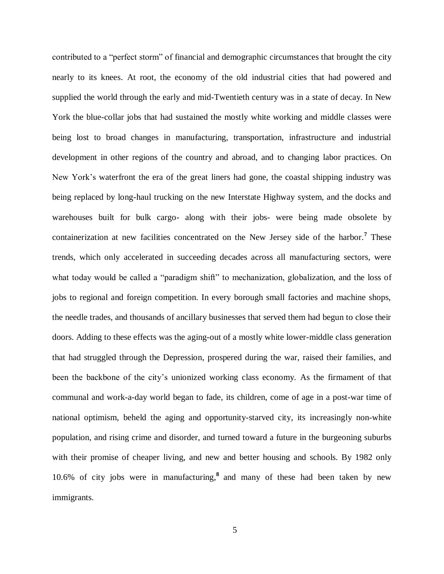contributed to a "perfect storm" of financial and demographic circumstances that brought the city nearly to its knees. At root, the economy of the old industrial cities that had powered and supplied the world through the early and mid-Twentieth century was in a state of decay. In New York the blue-collar jobs that had sustained the mostly white working and middle classes were being lost to broad changes in manufacturing, transportation, infrastructure and industrial development in other regions of the country and abroad, and to changing labor practices. On New York's waterfront the era of the great liners had gone, the coastal shipping industry was being replaced by long-haul trucking on the new Interstate Highway system, and the docks and warehouses built for bulk cargo- along with their jobs- were being made obsolete by containerization at new facilities concentrated on the New Jersey side of the harbor.**<sup>7</sup>** These trends, which only accelerated in succeeding decades across all manufacturing sectors, were what today would be called a "paradigm shift" to mechanization, globalization, and the loss of jobs to regional and foreign competition. In every borough small factories and machine shops, the needle trades, and thousands of ancillary businesses that served them had begun to close their doors. Adding to these effects was the aging-out of a mostly white lower-middle class generation that had struggled through the Depression, prospered during the war, raised their families, and been the backbone of the city's unionized working class economy. As the firmament of that communal and work-a-day world began to fade, its children, come of age in a post-war time of national optimism, beheld the aging and opportunity-starved city, its increasingly non-white population, and rising crime and disorder, and turned toward a future in the burgeoning suburbs with their promise of cheaper living, and new and better housing and schools. By 1982 only 10.6% of city jobs were in manufacturing, **8** and many of these had been taken by new immigrants.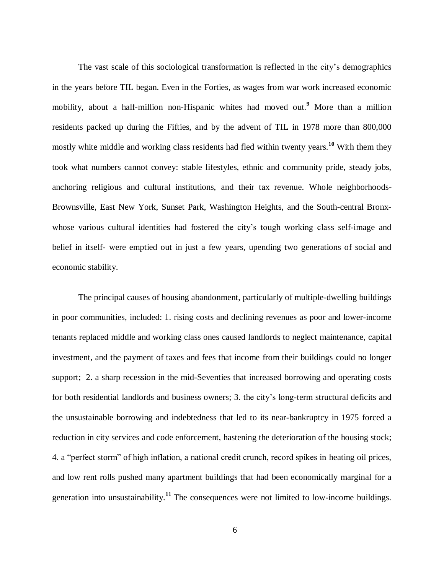The vast scale of this sociological transformation is reflected in the city's demographics in the years before TIL began. Even in the Forties, as wages from war work increased economic mobility, about a half-million non-Hispanic whites had moved out.**<sup>9</sup>** More than a million residents packed up during the Fifties, and by the advent of TIL in 1978 more than 800,000 mostly white middle and working class residents had fled within twenty years.**<sup>10</sup>** With them they took what numbers cannot convey: stable lifestyles, ethnic and community pride, steady jobs, anchoring religious and cultural institutions, and their tax revenue. Whole neighborhoods-Brownsville, East New York, Sunset Park, Washington Heights, and the South-central Bronxwhose various cultural identities had fostered the city's tough working class self-image and belief in itself- were emptied out in just a few years, upending two generations of social and economic stability.

The principal causes of housing abandonment, particularly of multiple-dwelling buildings in poor communities, included: 1. rising costs and declining revenues as poor and lower-income tenants replaced middle and working class ones caused landlords to neglect maintenance, capital investment, and the payment of taxes and fees that income from their buildings could no longer support; 2. a sharp recession in the mid-Seventies that increased borrowing and operating costs for both residential landlords and business owners; 3. the city's long-term structural deficits and the unsustainable borrowing and indebtedness that led to its near-bankruptcy in 1975 forced a reduction in city services and code enforcement, hastening the deterioration of the housing stock; 4. a "perfect storm" of high inflation, a national credit crunch, record spikes in heating oil prices, and low rent rolls pushed many apartment buildings that had been economically marginal for a generation into unsustainability.**<sup>11</sup>** The consequences were not limited to low-income buildings.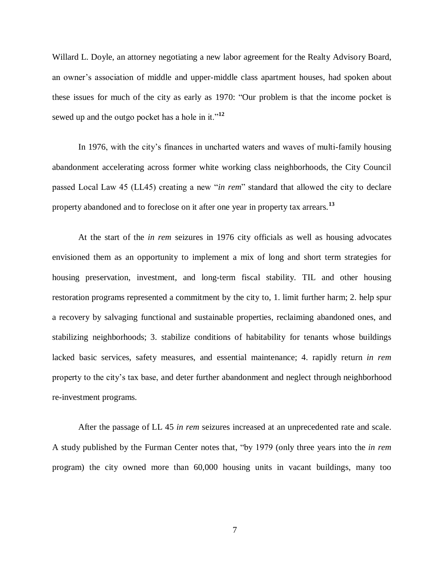Willard L. Doyle, an attorney negotiating a new labor agreement for the Realty Advisory Board, an owner's association of middle and upper-middle class apartment houses, had spoken about these issues for much of the city as early as 1970: "Our problem is that the income pocket is sewed up and the outgo pocket has a hole in it."**<sup>12</sup>**

In 1976, with the city's finances in uncharted waters and waves of multi-family housing abandonment accelerating across former white working class neighborhoods, the City Council passed Local Law 45 (LL45) creating a new "*in rem*" standard that allowed the city to declare property abandoned and to foreclose on it after one year in property tax arrears.**<sup>13</sup>**

At the start of the *in rem* seizures in 1976 city officials as well as housing advocates envisioned them as an opportunity to implement a mix of long and short term strategies for housing preservation, investment, and long-term fiscal stability. TIL and other housing restoration programs represented a commitment by the city to, 1. limit further harm; 2. help spur a recovery by salvaging functional and sustainable properties, reclaiming abandoned ones, and stabilizing neighborhoods; 3. stabilize conditions of habitability for tenants whose buildings lacked basic services, safety measures, and essential maintenance; 4. rapidly return *in rem* property to the city's tax base, and deter further abandonment and neglect through neighborhood re-investment programs.

After the passage of LL 45 *in rem* seizures increased at an unprecedented rate and scale. A study published by the Furman Center notes that, "by 1979 (only three years into the *in rem* program) the city owned more than 60,000 housing units in vacant buildings, many too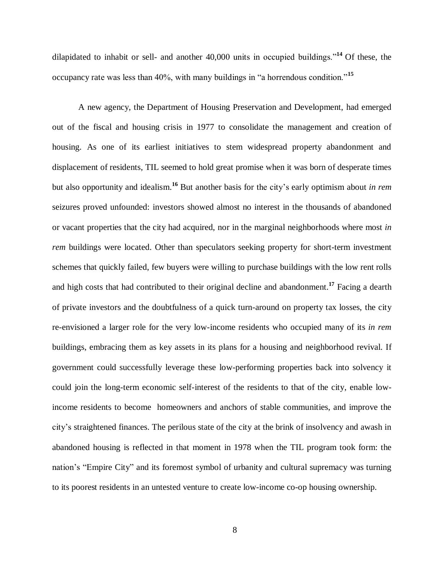dilapidated to inhabit or sell- and another  $40,000$  units in occupied buildings.<sup> $14$ </sup> Of these, the occupancy rate was less than 40%, with many buildings in "a horrendous condition."**<sup>15</sup>**

A new agency, the Department of Housing Preservation and Development, had emerged out of the fiscal and housing crisis in 1977 to consolidate the management and creation of housing. As one of its earliest initiatives to stem widespread property abandonment and displacement of residents, TIL seemed to hold great promise when it was born of desperate times but also opportunity and idealism. **<sup>16</sup>** But another basis for the city's early optimism about *in rem* seizures proved unfounded: investors showed almost no interest in the thousands of abandoned or vacant properties that the city had acquired, nor in the marginal neighborhoods where most *in rem* buildings were located. Other than speculators seeking property for short-term investment schemes that quickly failed, few buyers were willing to purchase buildings with the low rent rolls and high costs that had contributed to their original decline and abandonment.**<sup>17</sup>** Facing a dearth of private investors and the doubtfulness of a quick turn-around on property tax losses, the city re-envisioned a larger role for the very low-income residents who occupied many of its *in rem* buildings, embracing them as key assets in its plans for a housing and neighborhood revival. If government could successfully leverage these low-performing properties back into solvency it could join the long-term economic self-interest of the residents to that of the city, enable lowincome residents to become homeowners and anchors of stable communities, and improve the city's straightened finances. The perilous state of the city at the brink of insolvency and awash in abandoned housing is reflected in that moment in 1978 when the TIL program took form: the nation's "Empire City" and its foremost symbol of urbanity and cultural supremacy was turning to its poorest residents in an untested venture to create low-income co-op housing ownership.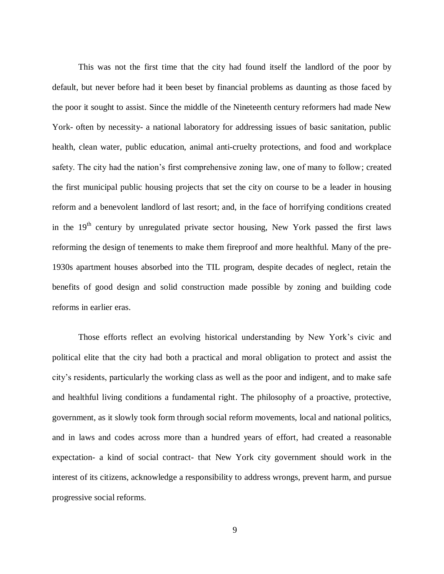This was not the first time that the city had found itself the landlord of the poor by default, but never before had it been beset by financial problems as daunting as those faced by the poor it sought to assist. Since the middle of the Nineteenth century reformers had made New York- often by necessity- a national laboratory for addressing issues of basic sanitation, public health, clean water, public education, animal anti-cruelty protections, and food and workplace safety. The city had the nation's first comprehensive zoning law, one of many to follow; created the first municipal public housing projects that set the city on course to be a leader in housing reform and a benevolent landlord of last resort; and, in the face of horrifying conditions created in the  $19<sup>th</sup>$  century by unregulated private sector housing, New York passed the first laws reforming the design of tenements to make them fireproof and more healthful. Many of the pre-1930s apartment houses absorbed into the TIL program, despite decades of neglect, retain the benefits of good design and solid construction made possible by zoning and building code reforms in earlier eras.

Those efforts reflect an evolving historical understanding by New York's civic and political elite that the city had both a practical and moral obligation to protect and assist the city's residents, particularly the working class as well as the poor and indigent, and to make safe and healthful living conditions a fundamental right. The philosophy of a proactive, protective, government, as it slowly took form through social reform movements, local and national politics, and in laws and codes across more than a hundred years of effort, had created a reasonable expectation- a kind of social contract- that New York city government should work in the interest of its citizens, acknowledge a responsibility to address wrongs, prevent harm, and pursue progressive social reforms.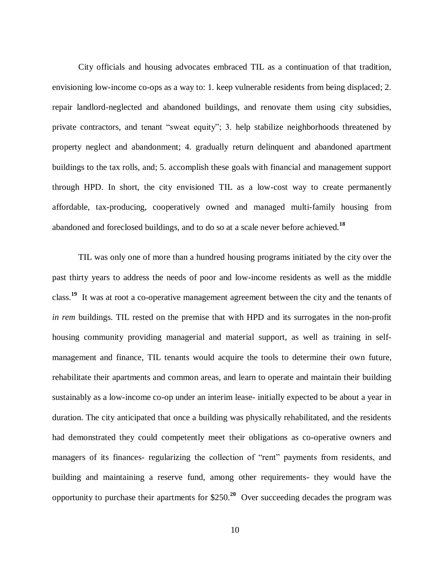City officials and housing advocates embraced TIL as a continuation of that tradition, envisioning low-income co-ops as a way to: 1. keep vulnerable residents from being displaced; 2. repair landlord-neglected and abandoned buildings, and renovate them using city subsidies, private contractors, and tenant "sweat equity"; 3. help stabilize neighborhoods threatened by property neglect and abandonment; 4. gradually return delinquent and abandoned apartment buildings to the tax rolls, and; 5. accomplish these goals with financial and management support through HPD. In short, the city envisioned TIL as a low-cost way to create permanently affordable, tax-producing, cooperatively owned and managed multi-family housing from abandoned and foreclosed buildings, and to do so at a scale never before achieved.**<sup>18</sup>**

TIL was only one of more than a hundred housing programs initiated by the city over the past thirty years to address the needs of poor and low-income residents as well as the middle class. **19** It was at root a co-operative management agreement between the city and the tenants of *in rem* buildings. TIL rested on the premise that with HPD and its surrogates in the non-profit housing community providing managerial and material support, as well as training in selfmanagement and finance, TIL tenants would acquire the tools to determine their own future, rehabilitate their apartments and common areas, and learn to operate and maintain their building sustainably as a low-income co-op under an interim lease- initially expected to be about a year in duration. The city anticipated that once a building was physically rehabilitated, and the residents had demonstrated they could competently meet their obligations as co-operative owners and managers of its finances- regularizing the collection of "rent" payments from residents, and building and maintaining a reserve fund, among other requirements- they would have the opportunity to purchase their apartments for \$250.**<sup>20</sup>** Over succeeding decades the program was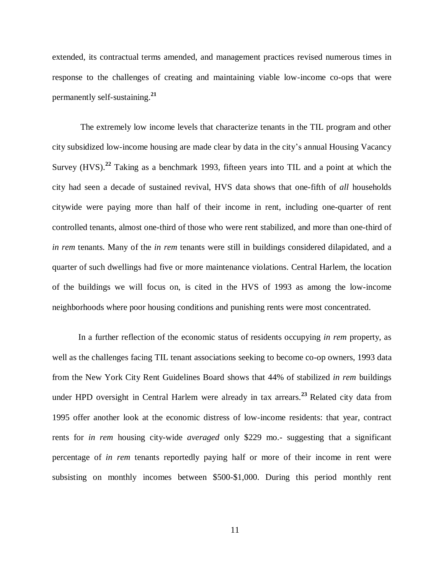extended, its contractual terms amended, and management practices revised numerous times in response to the challenges of creating and maintaining viable low-income co-ops that were permanently self-sustaining.**<sup>21</sup>**

The extremely low income levels that characterize tenants in the TIL program and other city subsidized low-income housing are made clear by data in the city's annual Housing Vacancy Survey (HVS).<sup>22</sup> Taking as a benchmark 1993, fifteen years into TIL and a point at which the city had seen a decade of sustained revival, HVS data shows that one-fifth of *all* households citywide were paying more than half of their income in rent, including one-quarter of rent controlled tenants, almost one-third of those who were rent stabilized, and more than one-third of *in rem* tenants. Many of the *in rem* tenants were still in buildings considered dilapidated, and a quarter of such dwellings had five or more maintenance violations. Central Harlem, the location of the buildings we will focus on, is cited in the HVS of 1993 as among the low-income neighborhoods where poor housing conditions and punishing rents were most concentrated.

In a further reflection of the economic status of residents occupying *in rem* property, as well as the challenges facing TIL tenant associations seeking to become co-op owners, 1993 data from the New York City Rent Guidelines Board shows that 44% of stabilized *in rem* buildings under HPD oversight in Central Harlem were already in tax arrears.<sup>23</sup> Related city data from 1995 offer another look at the economic distress of low-income residents: that year, contract rents for *in rem* housing city-wide *averaged* only \$229 mo.- suggesting that a significant percentage of *in rem* tenants reportedly paying half or more of their income in rent were subsisting on monthly incomes between \$500-\$1,000. During this period monthly rent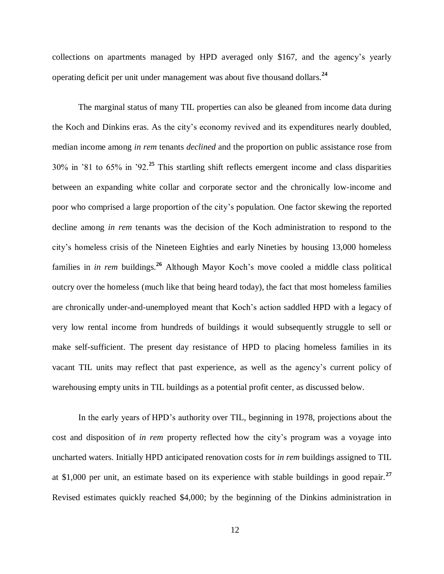collections on apartments managed by HPD averaged only \$167, and the agency's yearly operating deficit per unit under management was about five thousand dollars.**<sup>24</sup>**

The marginal status of many TIL properties can also be gleaned from income data during the Koch and Dinkins eras. As the city's economy revived and its expenditures nearly doubled, median income among *in rem* tenants *declined* and the proportion on public assistance rose from 30% in '81 to 65% in '92.**<sup>25</sup>** This startling shift reflects emergent income and class disparities between an expanding white collar and corporate sector and the chronically low-income and poor who comprised a large proportion of the city's population. One factor skewing the reported decline among *in rem* tenants was the decision of the Koch administration to respond to the city's homeless crisis of the Nineteen Eighties and early Nineties by housing 13,000 homeless families in *in rem* buildings.**<sup>26</sup>** Although Mayor Koch's move cooled a middle class political outcry over the homeless (much like that being heard today), the fact that most homeless families are chronically under-and-unemployed meant that Koch's action saddled HPD with a legacy of very low rental income from hundreds of buildings it would subsequently struggle to sell or make self-sufficient. The present day resistance of HPD to placing homeless families in its vacant TIL units may reflect that past experience, as well as the agency's current policy of warehousing empty units in TIL buildings as a potential profit center, as discussed below.

In the early years of HPD's authority over TIL, beginning in 1978, projections about the cost and disposition of *in rem* property reflected how the city's program was a voyage into uncharted waters. Initially HPD anticipated renovation costs for *in rem* buildings assigned to TIL at \$1,000 per unit, an estimate based on its experience with stable buildings in good repair.**<sup>27</sup>** Revised estimates quickly reached \$4,000; by the beginning of the Dinkins administration in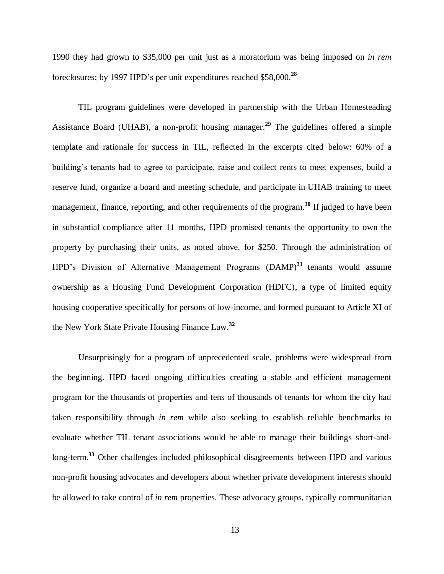1990 they had grown to \$35,000 per unit just as a moratorium was being imposed on *in rem* foreclosures; by 1997 HPD's per unit expenditures reached \$58,000. **28**

TIL program guidelines were developed in partnership with the Urban Homesteading Assistance Board (UHAB), a non-profit housing manager. **29** The guidelines offered a simple template and rationale for success in TIL, reflected in the excerpts cited below: 60% of a building's tenants had to agree to participate, raise and collect rents to meet expenses, build a reserve fund, organize a board and meeting schedule, and participate in UHAB training to meet management, finance, reporting, and other requirements of the program. **<sup>30</sup>** If judged to have been in substantial compliance after 11 months, HPD promised tenants the opportunity to own the property by purchasing their units, as noted above, for \$250. Through the administration of HPD's Division of Alternative Management Programs (DAMP)<sup>31</sup> tenants would assume ownership as a Housing Fund Development Corporation (HDFC), a type of limited equity housing cooperative specifically for persons of low-income, and formed pursuant to Article XI of the New York State Private Housing Finance Law. **32**

Unsurprisingly for a program of unprecedented scale, problems were widespread from the beginning. HPD faced ongoing difficulties creating a stable and efficient management program for the thousands of properties and tens of thousands of tenants for whom the city had taken responsibility through *in rem* while also seeking to establish reliable benchmarks to evaluate whether TIL tenant associations would be able to manage their buildings short-andlong-term.**<sup>33</sup>** Other challenges included philosophical disagreements between HPD and various non-profit housing advocates and developers about whether private development interests should be allowed to take control of *in rem* properties. These advocacy groups, typically communitarian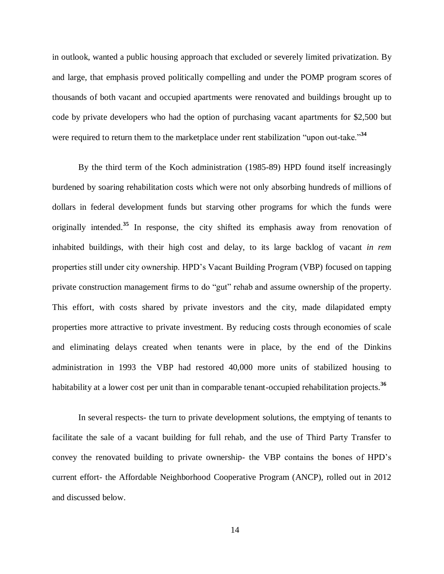in outlook, wanted a public housing approach that excluded or severely limited privatization. By and large, that emphasis proved politically compelling and under the POMP program scores of thousands of both vacant and occupied apartments were renovated and buildings brought up to code by private developers who had the option of purchasing vacant apartments for \$2,500 but were required to return them to the marketplace under rent stabilization "upon out-take."**<sup>34</sup>**

By the third term of the Koch administration (1985-89) HPD found itself increasingly burdened by soaring rehabilitation costs which were not only absorbing hundreds of millions of dollars in federal development funds but starving other programs for which the funds were originally intended.**<sup>35</sup>** In response, the city shifted its emphasis away from renovation of inhabited buildings, with their high cost and delay, to its large backlog of vacant *in rem* properties still under city ownership. HPD's Vacant Building Program (VBP) focused on tapping private construction management firms to do "gut" rehab and assume ownership of the property. This effort, with costs shared by private investors and the city, made dilapidated empty properties more attractive to private investment. By reducing costs through economies of scale and eliminating delays created when tenants were in place, by the end of the Dinkins administration in 1993 the VBP had restored 40,000 more units of stabilized housing to habitability at a lower cost per unit than in comparable tenant-occupied rehabilitation projects.<sup>36</sup>

In several respects- the turn to private development solutions, the emptying of tenants to facilitate the sale of a vacant building for full rehab, and the use of Third Party Transfer to convey the renovated building to private ownership- the VBP contains the bones of HPD's current effort- the Affordable Neighborhood Cooperative Program (ANCP), rolled out in 2012 and discussed below.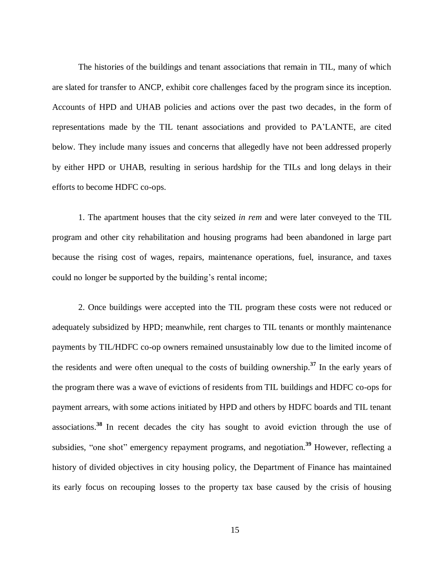The histories of the buildings and tenant associations that remain in TIL, many of which are slated for transfer to ANCP, exhibit core challenges faced by the program since its inception. Accounts of HPD and UHAB policies and actions over the past two decades, in the form of representations made by the TIL tenant associations and provided to PA'LANTE, are cited below. They include many issues and concerns that allegedly have not been addressed properly by either HPD or UHAB, resulting in serious hardship for the TILs and long delays in their efforts to become HDFC co-ops.

1. The apartment houses that the city seized *in rem* and were later conveyed to the TIL program and other city rehabilitation and housing programs had been abandoned in large part because the rising cost of wages, repairs, maintenance operations, fuel, insurance, and taxes could no longer be supported by the building's rental income;

2. Once buildings were accepted into the TIL program these costs were not reduced or adequately subsidized by HPD; meanwhile, rent charges to TIL tenants or monthly maintenance payments by TIL/HDFC co-op owners remained unsustainably low due to the limited income of the residents and were often unequal to the costs of building ownership. **37** In the early years of the program there was a wave of evictions of residents from TIL buildings and HDFC co-ops for payment arrears, with some actions initiated by HPD and others by HDFC boards and TIL tenant associations. **<sup>38</sup>** In recent decades the city has sought to avoid eviction through the use of subsidies, "one shot" emergency repayment programs, and negotiation. **<sup>39</sup>** However, reflecting a history of divided objectives in city housing policy, the Department of Finance has maintained its early focus on recouping losses to the property tax base caused by the crisis of housing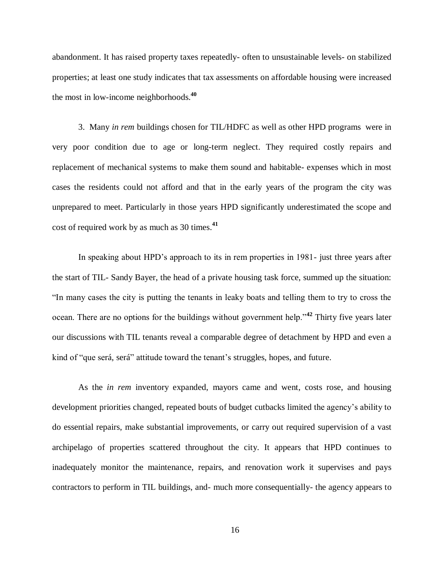abandonment. It has raised property taxes repeatedly- often to unsustainable levels- on stabilized properties; at least one study indicates that tax assessments on affordable housing were increased the most in low-income neighborhoods.**<sup>40</sup>**

3. Many *in rem* buildings chosen for TIL/HDFC as well as other HPD programs were in very poor condition due to age or long-term neglect. They required costly repairs and replacement of mechanical systems to make them sound and habitable- expenses which in most cases the residents could not afford and that in the early years of the program the city was unprepared to meet. Particularly in those years HPD significantly underestimated the scope and cost of required work by as much as 30 times. **41**

In speaking about HPD's approach to its in rem properties in 1981- just three years after the start of TIL- Sandy Bayer, the head of a private housing task force, summed up the situation: "In many cases the city is putting the tenants in leaky boats and telling them to try to cross the ocean. There are no options for the buildings without government help."**<sup>42</sup>** Thirty five years later our discussions with TIL tenants reveal a comparable degree of detachment by HPD and even a kind of "que será, será" attitude toward the tenant's struggles, hopes, and future.

As the *in rem* inventory expanded, mayors came and went, costs rose, and housing development priorities changed, repeated bouts of budget cutbacks limited the agency's ability to do essential repairs, make substantial improvements, or carry out required supervision of a vast archipelago of properties scattered throughout the city. It appears that HPD continues to inadequately monitor the maintenance, repairs, and renovation work it supervises and pays contractors to perform in TIL buildings, and- much more consequentially- the agency appears to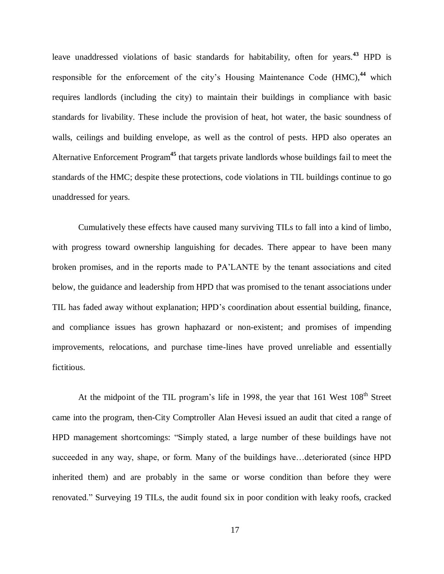leave unaddressed violations of basic standards for habitability, often for years.**<sup>43</sup>** HPD is responsible for the enforcement of the city's Housing Maintenance Code (HMC), **<sup>44</sup>** which requires landlords (including the city) to maintain their buildings in compliance with basic standards for livability. These include the provision of heat, hot water, the basic soundness of walls, ceilings and building envelope, as well as the control of pests. HPD also operates an Alternative Enforcement Program**<sup>45</sup>** that targets private landlords whose buildings fail to meet the standards of the HMC; despite these protections, code violations in TIL buildings continue to go unaddressed for years.

Cumulatively these effects have caused many surviving TILs to fall into a kind of limbo, with progress toward ownership languishing for decades. There appear to have been many broken promises, and in the reports made to PA'LANTE by the tenant associations and cited below, the guidance and leadership from HPD that was promised to the tenant associations under TIL has faded away without explanation; HPD's coordination about essential building, finance, and compliance issues has grown haphazard or non-existent; and promises of impending improvements, relocations, and purchase time-lines have proved unreliable and essentially fictitious.

At the midpoint of the TIL program's life in 1998, the year that  $161$  West  $108<sup>th</sup>$  Street came into the program, then-City Comptroller Alan Hevesi issued an audit that cited a range of HPD management shortcomings: "Simply stated, a large number of these buildings have not succeeded in any way, shape, or form. Many of the buildings have…deteriorated (since HPD inherited them) and are probably in the same or worse condition than before they were renovated." Surveying 19 TILs, the audit found six in poor condition with leaky roofs, cracked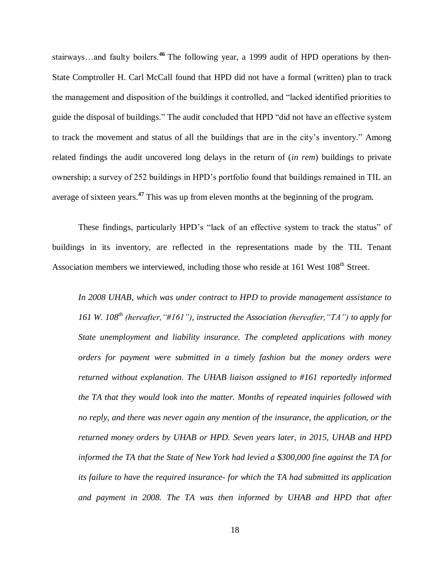stairways…and faulty boilers.**<sup>46</sup>** The following year, a 1999 audit of HPD operations by then-State Comptroller H. Carl McCall found that HPD did not have a formal (written) plan to track the management and disposition of the buildings it controlled, and "lacked identified priorities to guide the disposal of buildings." The audit concluded that HPD "did not have an effective system to track the movement and status of all the buildings that are in the city's inventory." Among related findings the audit uncovered long delays in the return of (*in rem*) buildings to private ownership; a survey of 252 buildings in HPD's portfolio found that buildings remained in TIL an average of sixteen years. **47** This was up from eleven months at the beginning of the program.

These findings, particularly HPD's "lack of an effective system to track the status" of buildings in its inventory, are reflected in the representations made by the TIL Tenant Association members we interviewed, including those who reside at 161 West 108<sup>th</sup> Street.

*In 2008 UHAB, which was under contract to HPD to provide management assistance to 161 W. 108th (hereafter,"#161"), instructed the Association (hereafter,"TA") to apply for State unemployment and liability insurance. The completed applications with money orders for payment were submitted in a timely fashion but the money orders were returned without explanation. The UHAB liaison assigned to #161 reportedly informed the TA that they would look into the matter. Months of repeated inquiries followed with no reply, and there was never again any mention of the insurance, the application, or the returned money orders by UHAB or HPD. Seven years later, in 2015, UHAB and HPD informed the TA that the State of New York had levied a \$300,000 fine against the TA for its failure to have the required insurance- for which the TA had submitted its application and payment in 2008. The TA was then informed by UHAB and HPD that after*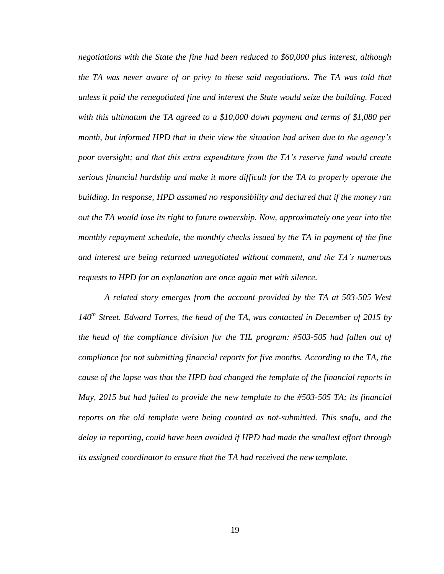*negotiations with the State the fine had been reduced to \$60,000 plus interest, although the TA was never aware of or privy to these said negotiations. The TA was told that unless it paid the renegotiated fine and interest the State would seize the building. Faced with this ultimatum the TA agreed to a \$10,000 down payment and terms of \$1,080 per month, but informed HPD that in their view the situation had arisen due to the agency's poor oversight; and that this extra expenditure from the TA's reserve fund would create serious financial hardship and make it more difficult for the TA to properly operate the building. In response, HPD assumed no responsibility and declared that if the money ran out the TA would lose its right to future ownership. Now, approximately one year into the monthly repayment schedule, the monthly checks issued by the TA in payment of the fine and interest are being returned unnegotiated without comment, and the TA's numerous requests to HPD for an explanation are once again met with silence.*

*A related story emerges from the account provided by the TA at 503-505 West 140th Street. Edward Torres, the head of the TA, was contacted in December of 2015 by the head of the compliance division for the TIL program: #503-505 had fallen out of compliance for not submitting financial reports for five months. According to the TA, the cause of the lapse was that the HPD had changed the template of the financial reports in May, 2015 but had failed to provide the new template to the #503-505 TA; its financial reports on the old template were being counted as not-submitted. This snafu, and the delay in reporting, could have been avoided if HPD had made the smallest effort through its assigned coordinator to ensure that the TA had received the new template.*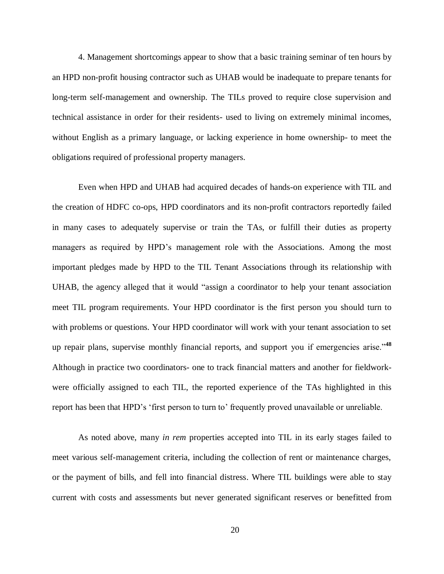4. Management shortcomings appear to show that a basic training seminar of ten hours by an HPD non-profit housing contractor such as UHAB would be inadequate to prepare tenants for long-term self-management and ownership. The TILs proved to require close supervision and technical assistance in order for their residents- used to living on extremely minimal incomes, without English as a primary language, or lacking experience in home ownership- to meet the obligations required of professional property managers.

Even when HPD and UHAB had acquired decades of hands-on experience with TIL and the creation of HDFC co-ops, HPD coordinators and its non-profit contractors reportedly failed in many cases to adequately supervise or train the TAs, or fulfill their duties as property managers as required by HPD's management role with the Associations. Among the most important pledges made by HPD to the TIL Tenant Associations through its relationship with UHAB, the agency alleged that it would "assign a coordinator to help your tenant association meet TIL program requirements. Your HPD coordinator is the first person you should turn to with problems or questions. Your HPD coordinator will work with your tenant association to set up repair plans, supervise monthly financial reports, and support you if emergencies arise."**<sup>48</sup>** Although in practice two coordinators- one to track financial matters and another for fieldworkwere officially assigned to each TIL, the reported experience of the TAs highlighted in this report has been that HPD's 'first person to turn to' frequently proved unavailable or unreliable.

As noted above, many *in rem* properties accepted into TIL in its early stages failed to meet various self-management criteria, including the collection of rent or maintenance charges, or the payment of bills, and fell into financial distress. Where TIL buildings were able to stay current with costs and assessments but never generated significant reserves or benefitted from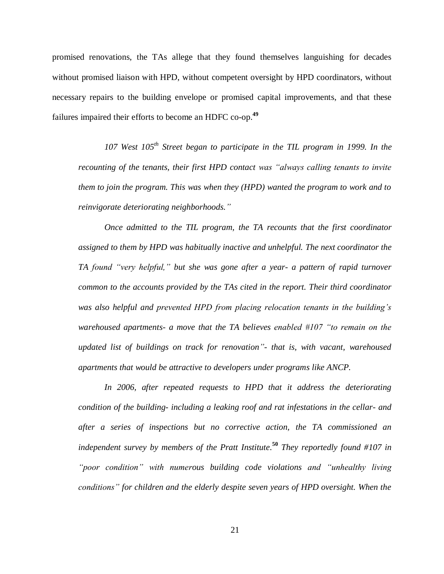promised renovations, the TAs allege that they found themselves languishing for decades without promised liaison with HPD, without competent oversight by HPD coordinators, without necessary repairs to the building envelope or promised capital improvements, and that these failures impaired their efforts to become an HDFC co-op.**<sup>49</sup>**

*107 West 105th Street began to participate in the TIL program in 1999. In the recounting of the tenants, their first HPD contact was "always calling tenants to invite them to join the program. This was when they (HPD) wanted the program to work and to reinvigorate deteriorating neighborhoods."* 

*Once admitted to the TIL program, the TA recounts that the first coordinator assigned to them by HPD was habitually inactive and unhelpful. The next coordinator the TA found "very helpful," but she was gone after a year- a pattern of rapid turnover common to the accounts provided by the TAs cited in the report. Their third coordinator was also helpful and prevented HPD from placing relocation tenants in the building's warehoused apartments- a move that the TA believes enabled #107 "to remain on the updated list of buildings on track for renovation"- that is, with vacant, warehoused apartments that would be attractive to developers under programs like ANCP.*

*In 2006, after repeated requests to HPD that it address the deteriorating condition of the building- including a leaking roof and rat infestations in the cellar- and after a series of inspections but no corrective action, the TA commissioned an independent survey by members of the Pratt Institute.* **<sup>50</sup>** *They reportedly found #107 in "poor condition" with numerous building code violations and "unhealthy living conditions" for children and the elderly despite seven years of HPD oversight. When the*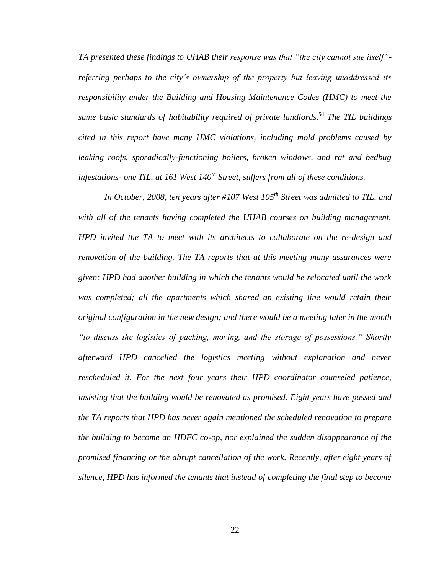*TA presented these findings to UHAB their response was that "the city cannot sue itself" referring perhaps to the city's ownership of the property but leaving unaddressed its responsibility under the Building and Housing Maintenance Codes (HMC) to meet the same basic standards of habitability required of private landlords.***<sup>51</sup>** *The TIL buildings cited in this report have many HMC violations, including mold problems caused by leaking roofs, sporadically-functioning boilers, broken windows, and rat and bedbug infestations- one TIL, at 161 West 140th Street, suffers from all of these conditions.*

*In October, 2008, ten years after #107 West 105th Street was admitted to TIL, and*  with all of the tenants having completed the UHAB courses on building management, *HPD invited the TA to meet with its architects to collaborate on the re-design and renovation of the building. The TA reports that at this meeting many assurances were given: HPD had another building in which the tenants would be relocated until the work*  was completed; all the apartments which shared an existing line would retain their *original configuration in the new design; and there would be a meeting later in the month "to discuss the logistics of packing, moving, and the storage of possessions." Shortly afterward HPD cancelled the logistics meeting without explanation and never rescheduled it. For the next four years their HPD coordinator counseled patience, insisting that the building would be renovated as promised. Eight years have passed and the TA reports that HPD has never again mentioned the scheduled renovation to prepare the building to become an HDFC co-op, nor explained the sudden disappearance of the promised financing or the abrupt cancellation of the work. Recently, after eight years of silence, HPD has informed the tenants that instead of completing the final step to become*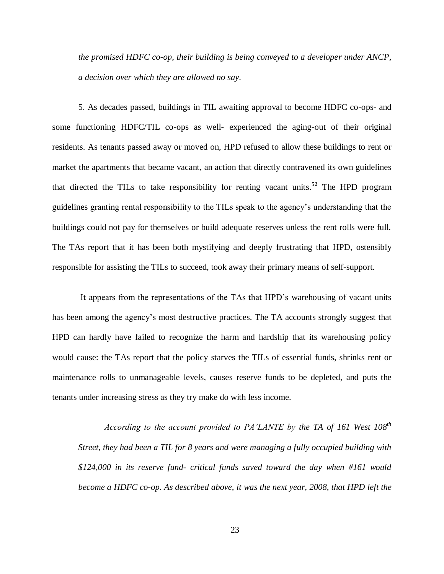*the promised HDFC co-op, their building is being conveyed to a developer under ANCP, a decision over which they are allowed no say.* 

5. As decades passed, buildings in TIL awaiting approval to become HDFC co-ops- and some functioning HDFC/TIL co-ops as well- experienced the aging-out of their original residents. As tenants passed away or moved on, HPD refused to allow these buildings to rent or market the apartments that became vacant, an action that directly contravened its own guidelines that directed the TILs to take responsibility for renting vacant units. **52** The HPD program guidelines granting rental responsibility to the TILs speak to the agency's understanding that the buildings could not pay for themselves or build adequate reserves unless the rent rolls were full. The TAs report that it has been both mystifying and deeply frustrating that HPD, ostensibly responsible for assisting the TILs to succeed, took away their primary means of self-support.

It appears from the representations of the TAs that HPD's warehousing of vacant units has been among the agency's most destructive practices. The TA accounts strongly suggest that HPD can hardly have failed to recognize the harm and hardship that its warehousing policy would cause: the TAs report that the policy starves the TILs of essential funds, shrinks rent or maintenance rolls to unmanageable levels, causes reserve funds to be depleted, and puts the tenants under increasing stress as they try make do with less income.

*According to the account provided to PA'LANTE by the TA of 161 West 108 th Street, they had been a TIL for 8 years and were managing a fully occupied building with \$124,000 in its reserve fund- critical funds saved toward the day when #161 would become a HDFC co-op. As described above, it was the next year, 2008, that HPD left the*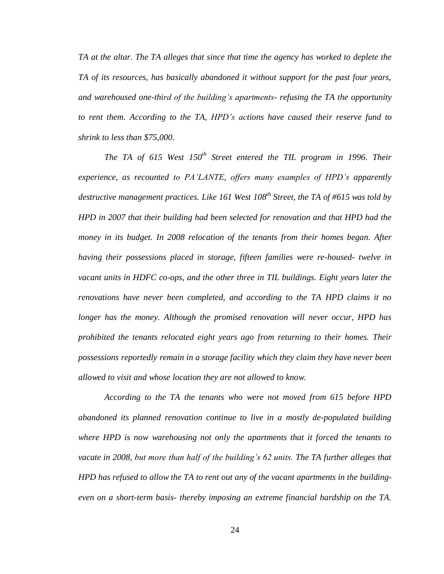*TA at the altar. The TA alleges that since that time the agency has worked to deplete the TA of its resources, has basically abandoned it without support for the past four years, and warehoused one-third of the building's apartments- refusing the TA the opportunity to rent them. According to the TA, HPD's actions have caused their reserve fund to shrink to less than \$75,000.* 

*The TA of 615 West 150th Street entered the TIL program in 1996. Their experience, as recounted to PA'LANTE, offers many examples of HPD's apparently* destructive management practices. Like 161 West 108<sup>th</sup> Street, the TA of #615 was told by *HPD in 2007 that their building had been selected for renovation and that HPD had the money in its budget. In 2008 relocation of the tenants from their homes began. After having their possessions placed in storage, fifteen families were re-housed- twelve in vacant units in HDFC co-ops, and the other three in TIL buildings. Eight years later the renovations have never been completed, and according to the TA HPD claims it no longer has the money. Although the promised renovation will never occur, HPD has prohibited the tenants relocated eight years ago from returning to their homes. Their possessions reportedly remain in a storage facility which they claim they have never been allowed to visit and whose location they are not allowed to know.*

*According to the TA the tenants who were not moved from 615 before HPD abandoned its planned renovation continue to live in a mostly de-populated building where HPD is now warehousing not only the apartments that it forced the tenants to vacate in 2008, but more than half of the building's 62 units. The TA further alleges that HPD has refused to allow the TA to rent out any of the vacant apartments in the buildingeven on a short-term basis- thereby imposing an extreme financial hardship on the TA.*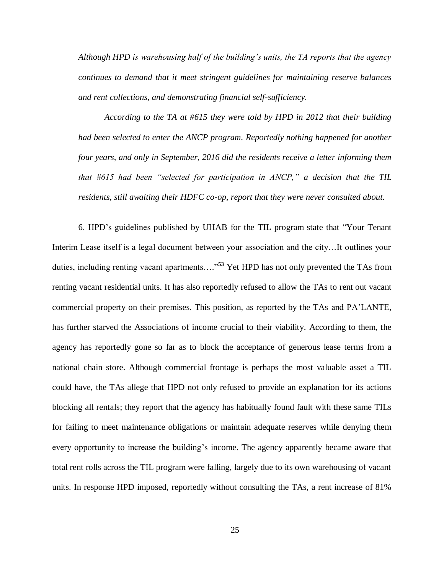*Although HPD is warehousing half of the building's units, the TA reports that the agency continues to demand that it meet stringent guidelines for maintaining reserve balances and rent collections, and demonstrating financial self-sufficiency.*

*According to the TA at #615 they were told by HPD in 2012 that their building had been selected to enter the ANCP program. Reportedly nothing happened for another four years, and only in September, 2016 did the residents receive a letter informing them that #615 had been "selected for participation in ANCP," a decision that the TIL residents, still awaiting their HDFC co-op, report that they were never consulted about.*

6. HPD's guidelines published by UHAB for the TIL program state that "Your Tenant Interim Lease itself is a legal document between your association and the city…It outlines your duties, including renting vacant apartments…."**<sup>53</sup>** Yet HPD has not only prevented the TAs from renting vacant residential units. It has also reportedly refused to allow the TAs to rent out vacant commercial property on their premises. This position, as reported by the TAs and PA'LANTE, has further starved the Associations of income crucial to their viability. According to them, the agency has reportedly gone so far as to block the acceptance of generous lease terms from a national chain store. Although commercial frontage is perhaps the most valuable asset a TIL could have, the TAs allege that HPD not only refused to provide an explanation for its actions blocking all rentals; they report that the agency has habitually found fault with these same TILs for failing to meet maintenance obligations or maintain adequate reserves while denying them every opportunity to increase the building's income. The agency apparently became aware that total rent rolls across the TIL program were falling, largely due to its own warehousing of vacant units. In response HPD imposed, reportedly without consulting the TAs, a rent increase of 81%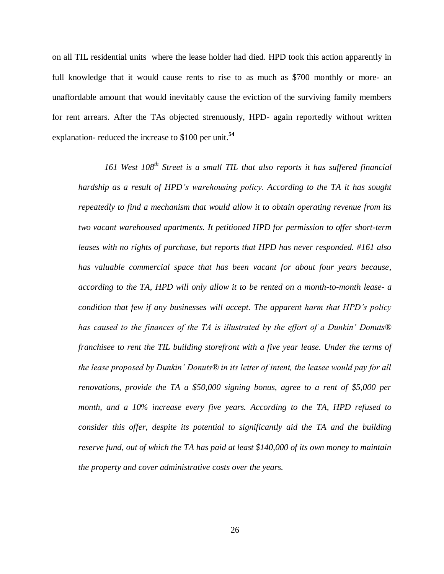on all TIL residential units where the lease holder had died. HPD took this action apparently in full knowledge that it would cause rents to rise to as much as \$700 monthly or more- an unaffordable amount that would inevitably cause the eviction of the surviving family members for rent arrears. After the TAs objected strenuously, HPD- again reportedly without written explanation- reduced the increase to \$100 per unit.**<sup>54</sup>**

*161 West 108th Street is a small TIL that also reports it has suffered financial hardship as a result of HPD's warehousing policy. According to the TA it has sought repeatedly to find a mechanism that would allow it to obtain operating revenue from its two vacant warehoused apartments. It petitioned HPD for permission to offer short-term leases with no rights of purchase, but reports that HPD has never responded. #161 also has valuable commercial space that has been vacant for about four years because, according to the TA, HPD will only allow it to be rented on a month-to-month lease- a condition that few if any businesses will accept. The apparent harm that HPD's policy has caused to the finances of the TA is illustrated by the effort of a Dunkin' Donuts® franchisee to rent the TIL building storefront with a five year lease. Under the terms of the lease proposed by Dunkin' Donuts® in its letter of intent, the leasee would pay for all renovations, provide the TA a \$50,000 signing bonus, agree to a rent of \$5,000 per month, and a 10% increase every five years. According to the TA, HPD refused to consider this offer, despite its potential to significantly aid the TA and the building reserve fund, out of which the TA has paid at least \$140,000 of its own money to maintain the property and cover administrative costs over the years.*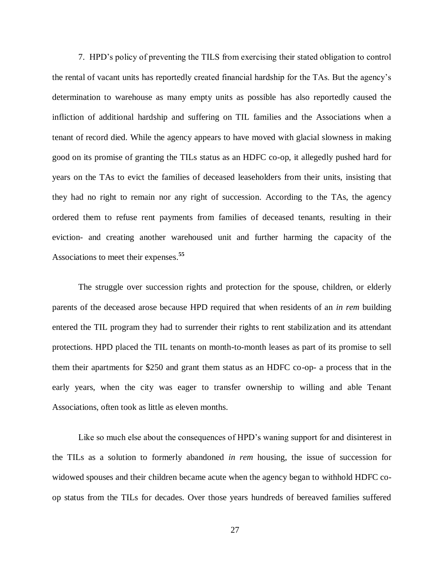7. HPD's policy of preventing the TILS from exercising their stated obligation to control the rental of vacant units has reportedly created financial hardship for the TAs. But the agency's determination to warehouse as many empty units as possible has also reportedly caused the infliction of additional hardship and suffering on TIL families and the Associations when a tenant of record died. While the agency appears to have moved with glacial slowness in making good on its promise of granting the TILs status as an HDFC co-op, it allegedly pushed hard for years on the TAs to evict the families of deceased leaseholders from their units, insisting that they had no right to remain nor any right of succession. According to the TAs, the agency ordered them to refuse rent payments from families of deceased tenants, resulting in their eviction- and creating another warehoused unit and further harming the capacity of the Associations to meet their expenses. **55**

The struggle over succession rights and protection for the spouse, children, or elderly parents of the deceased arose because HPD required that when residents of an *in rem* building entered the TIL program they had to surrender their rights to rent stabilization and its attendant protections. HPD placed the TIL tenants on month-to-month leases as part of its promise to sell them their apartments for \$250 and grant them status as an HDFC co-op- a process that in the early years, when the city was eager to transfer ownership to willing and able Tenant Associations, often took as little as eleven months.

Like so much else about the consequences of HPD's waning support for and disinterest in the TILs as a solution to formerly abandoned *in rem* housing, the issue of succession for widowed spouses and their children became acute when the agency began to withhold HDFC coop status from the TILs for decades. Over those years hundreds of bereaved families suffered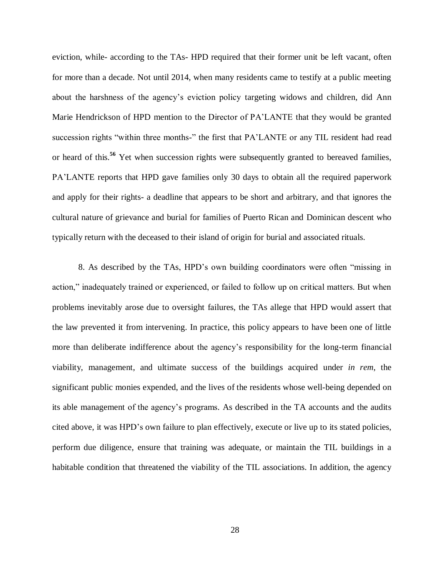eviction, while- according to the TAs- HPD required that their former unit be left vacant, often for more than a decade. Not until 2014, when many residents came to testify at a public meeting about the harshness of the agency's eviction policy targeting widows and children, did Ann Marie Hendrickson of HPD mention to the Director of PA'LANTE that they would be granted succession rights "within three months-" the first that PA'LANTE or any TIL resident had read or heard of this.**<sup>56</sup>** Yet when succession rights were subsequently granted to bereaved families, PA'LANTE reports that HPD gave families only 30 days to obtain all the required paperwork and apply for their rights- a deadline that appears to be short and arbitrary, and that ignores the cultural nature of grievance and burial for families of Puerto Rican and Dominican descent who typically return with the deceased to their island of origin for burial and associated rituals.

8. As described by the TAs, HPD's own building coordinators were often "missing in action," inadequately trained or experienced, or failed to follow up on critical matters. But when problems inevitably arose due to oversight failures, the TAs allege that HPD would assert that the law prevented it from intervening. In practice, this policy appears to have been one of little more than deliberate indifference about the agency's responsibility for the long-term financial viability, management, and ultimate success of the buildings acquired under *in rem*, the significant public monies expended, and the lives of the residents whose well-being depended on its able management of the agency's programs. As described in the TA accounts and the audits cited above, it was HPD's own failure to plan effectively, execute or live up to its stated policies, perform due diligence, ensure that training was adequate, or maintain the TIL buildings in a habitable condition that threatened the viability of the TIL associations. In addition, the agency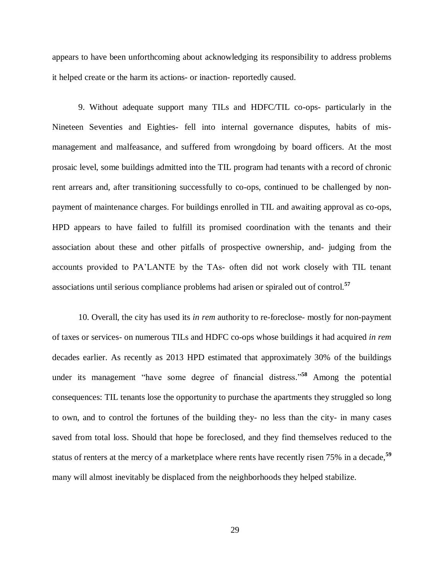appears to have been unforthcoming about acknowledging its responsibility to address problems it helped create or the harm its actions- or inaction- reportedly caused.

9. Without adequate support many TILs and HDFC/TIL co-ops- particularly in the Nineteen Seventies and Eighties- fell into internal governance disputes, habits of mismanagement and malfeasance, and suffered from wrongdoing by board officers. At the most prosaic level, some buildings admitted into the TIL program had tenants with a record of chronic rent arrears and, after transitioning successfully to co-ops, continued to be challenged by nonpayment of maintenance charges. For buildings enrolled in TIL and awaiting approval as co-ops, HPD appears to have failed to fulfill its promised coordination with the tenants and their association about these and other pitfalls of prospective ownership, and- judging from the accounts provided to PA'LANTE by the TAs- often did not work closely with TIL tenant associations until serious compliance problems had arisen or spiraled out of control.**<sup>57</sup>**

10. Overall, the city has used its *in rem* authority to re-foreclose- mostly for non-payment of taxes or services- on numerous TILs and HDFC co-ops whose buildings it had acquired *in rem* decades earlier. As recently as 2013 HPD estimated that approximately 30% of the buildings under its management "have some degree of financial distress." **<sup>58</sup>** Among the potential consequences: TIL tenants lose the opportunity to purchase the apartments they struggled so long to own, and to control the fortunes of the building they- no less than the city- in many cases saved from total loss. Should that hope be foreclosed, and they find themselves reduced to the status of renters at the mercy of a marketplace where rents have recently risen 75% in a decade,**<sup>59</sup>** many will almost inevitably be displaced from the neighborhoods they helped stabilize.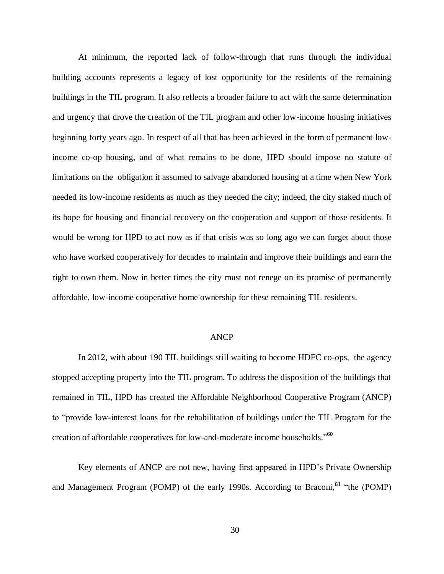At minimum, the reported lack of follow-through that runs through the individual building accounts represents a legacy of lost opportunity for the residents of the remaining buildings in the TIL program. It also reflects a broader failure to act with the same determination and urgency that drove the creation of the TIL program and other low-income housing initiatives beginning forty years ago. In respect of all that has been achieved in the form of permanent lowincome co-op housing, and of what remains to be done, HPD should impose no statute of limitations on the obligation it assumed to salvage abandoned housing at a time when New York needed its low-income residents as much as they needed the city; indeed, the city staked much of its hope for housing and financial recovery on the cooperation and support of those residents. It would be wrong for HPD to act now as if that crisis was so long ago we can forget about those who have worked cooperatively for decades to maintain and improve their buildings and earn the right to own them. Now in better times the city must not renege on its promise of permanently affordable, low-income cooperative home ownership for these remaining TIL residents.

#### ANCP

In 2012, with about 190 TIL buildings still waiting to become HDFC co-ops, the agency stopped accepting property into the TIL program. To address the disposition of the buildings that remained in TIL, HPD has created the Affordable Neighborhood Cooperative Program (ANCP) to "provide low-interest loans for the rehabilitation of buildings under the TIL Program for the creation of affordable cooperatives for low-and-moderate income households."**<sup>60</sup>**

Key elements of ANCP are not new, having first appeared in HPD's Private Ownership and Management Program (POMP) of the early 1990s. According to Braconi,**<sup>61</sup>** "the (POMP)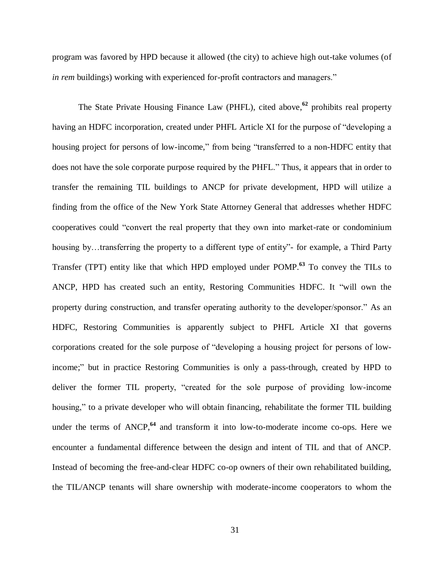program was favored by HPD because it allowed (the city) to achieve high out-take volumes (of *in rem* buildings) working with experienced for-profit contractors and managers."

The State Private Housing Finance Law (PHFL), cited above, **62** prohibits real property having an HDFC incorporation, created under PHFL Article XI for the purpose of "developing a housing project for persons of low-income," from being "transferred to a non-HDFC entity that does not have the sole corporate purpose required by the PHFL." Thus, it appears that in order to transfer the remaining TIL buildings to ANCP for private development, HPD will utilize a finding from the office of the New York State Attorney General that addresses whether HDFC cooperatives could "convert the real property that they own into market-rate or condominium housing by…transferring the property to a different type of entity"- for example, a Third Party Transfer (TPT) entity like that which HPD employed under POMP.**<sup>63</sup>** To convey the TILs to ANCP, HPD has created such an entity, Restoring Communities HDFC. It "will own the property during construction, and transfer operating authority to the developer/sponsor." As an HDFC, Restoring Communities is apparently subject to PHFL Article XI that governs corporations created for the sole purpose of "developing a housing project for persons of lowincome;" but in practice Restoring Communities is only a pass-through, created by HPD to deliver the former TIL property, "created for the sole purpose of providing low-income housing," to a private developer who will obtain financing, rehabilitate the former TIL building under the terms of ANCP,<sup>64</sup> and transform it into low-to-moderate income co-ops. Here we encounter a fundamental difference between the design and intent of TIL and that of ANCP. Instead of becoming the free-and-clear HDFC co-op owners of their own rehabilitated building, the TIL/ANCP tenants will share ownership with moderate-income cooperators to whom the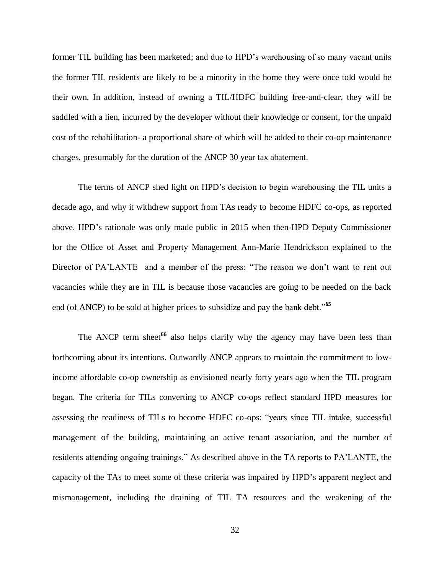former TIL building has been marketed; and due to HPD's warehousing of so many vacant units the former TIL residents are likely to be a minority in the home they were once told would be their own. In addition, instead of owning a TIL/HDFC building free-and-clear, they will be saddled with a lien, incurred by the developer without their knowledge or consent, for the unpaid cost of the rehabilitation- a proportional share of which will be added to their co-op maintenance charges, presumably for the duration of the ANCP 30 year tax abatement.

The terms of ANCP shed light on HPD's decision to begin warehousing the TIL units a decade ago, and why it withdrew support from TAs ready to become HDFC co-ops, as reported above. HPD's rationale was only made public in 2015 when then-HPD Deputy Commissioner for the Office of Asset and Property Management Ann-Marie Hendrickson explained to the Director of PA'LANTE and a member of the press: "The reason we don't want to rent out vacancies while they are in TIL is because those vacancies are going to be needed on the back end (of ANCP) to be sold at higher prices to subsidize and pay the bank debt."**<sup>65</sup>**

The ANCP term sheet<sup>66</sup> also helps clarify why the agency may have been less than forthcoming about its intentions. Outwardly ANCP appears to maintain the commitment to lowincome affordable co-op ownership as envisioned nearly forty years ago when the TIL program began. The criteria for TILs converting to ANCP co-ops reflect standard HPD measures for assessing the readiness of TILs to become HDFC co-ops: "years since TIL intake, successful management of the building, maintaining an active tenant association, and the number of residents attending ongoing trainings." As described above in the TA reports to PA'LANTE, the capacity of the TAs to meet some of these criteria was impaired by HPD's apparent neglect and mismanagement, including the draining of TIL TA resources and the weakening of the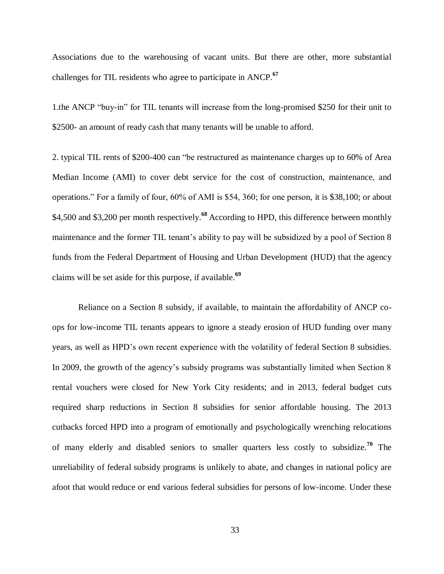Associations due to the warehousing of vacant units. But there are other, more substantial challenges for TIL residents who agree to participate in ANCP.**<sup>67</sup>**

1.the ANCP "buy-in" for TIL tenants will increase from the long-promised \$250 for their unit to \$2500- an amount of ready cash that many tenants will be unable to afford.

2. typical TIL rents of \$200-400 can "be restructured as maintenance charges up to 60% of Area Median Income (AMI) to cover debt service for the cost of construction, maintenance, and operations." For a family of four, 60% of AMI is \$54, 360; for one person, it is \$38,100; or about \$4,500 and \$3,200 per month respectively. **<sup>68</sup>** According to HPD, this difference between monthly maintenance and the former TIL tenant's ability to pay will be subsidized by a pool of Section 8 funds from the Federal Department of Housing and Urban Development (HUD) that the agency claims will be set aside for this purpose, if available. **69**

Reliance on a Section 8 subsidy, if available, to maintain the affordability of ANCP coops for low-income TIL tenants appears to ignore a steady erosion of HUD funding over many years, as well as HPD's own recent experience with the volatility of federal Section 8 subsidies. In 2009, the growth of the agency's subsidy programs was substantially limited when Section 8 rental vouchers were closed for New York City residents; and in 2013, federal budget cuts required sharp reductions in Section 8 subsidies for senior affordable housing. The 2013 cutbacks forced HPD into a program of emotionally and psychologically wrenching relocations of many elderly and disabled seniors to smaller quarters less costly to subsidize.**<sup>70</sup>** The unreliability of federal subsidy programs is unlikely to abate, and changes in national policy are afoot that would reduce or end various federal subsidies for persons of low-income. Under these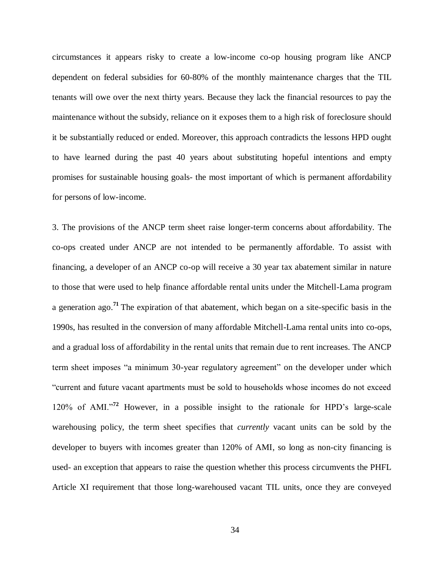circumstances it appears risky to create a low-income co-op housing program like ANCP dependent on federal subsidies for 60-80% of the monthly maintenance charges that the TIL tenants will owe over the next thirty years. Because they lack the financial resources to pay the maintenance without the subsidy, reliance on it exposes them to a high risk of foreclosure should it be substantially reduced or ended. Moreover, this approach contradicts the lessons HPD ought to have learned during the past 40 years about substituting hopeful intentions and empty promises for sustainable housing goals- the most important of which is permanent affordability for persons of low-income.

3. The provisions of the ANCP term sheet raise longer-term concerns about affordability. The co-ops created under ANCP are not intended to be permanently affordable. To assist with financing, a developer of an ANCP co-op will receive a 30 year tax abatement similar in nature to those that were used to help finance affordable rental units under the Mitchell-Lama program a generation ago. **<sup>71</sup>** The expiration of that abatement, which began on a site-specific basis in the 1990s, has resulted in the conversion of many affordable Mitchell-Lama rental units into co-ops, and a gradual loss of affordability in the rental units that remain due to rent increases. The ANCP term sheet imposes "a minimum 30-year regulatory agreement" on the developer under which "current and future vacant apartments must be sold to households whose incomes do not exceed 120% of AMI."**<sup>72</sup>** However, in a possible insight to the rationale for HPD's large-scale warehousing policy, the term sheet specifies that *currently* vacant units can be sold by the developer to buyers with incomes greater than 120% of AMI, so long as non-city financing is used- an exception that appears to raise the question whether this process circumvents the PHFL Article XI requirement that those long-warehoused vacant TIL units, once they are conveyed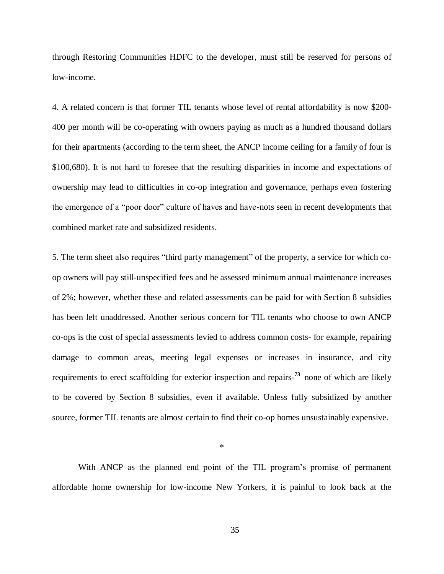through Restoring Communities HDFC to the developer, must still be reserved for persons of low-income.

4. A related concern is that former TIL tenants whose level of rental affordability is now \$200- 400 per month will be co-operating with owners paying as much as a hundred thousand dollars for their apartments (according to the term sheet, the ANCP income ceiling for a family of four is \$100,680). It is not hard to foresee that the resulting disparities in income and expectations of ownership may lead to difficulties in co-op integration and governance, perhaps even fostering the emergence of a "poor door" culture of haves and have-nots seen in recent developments that combined market rate and subsidized residents.

5. The term sheet also requires "third party management" of the property, a service for which coop owners will pay still-unspecified fees and be assessed minimum annual maintenance increases of 2%; however, whether these and related assessments can be paid for with Section 8 subsidies has been left unaddressed. Another serious concern for TIL tenants who choose to own ANCP co-ops is the cost of special assessments levied to address common costs- for example, repairing damage to common areas, meeting legal expenses or increases in insurance, and city requirements to erect scaffolding for exterior inspection and repairs-<sup>73</sup> none of which are likely to be covered by Section 8 subsidies, even if available. Unless fully subsidized by another source, former TIL tenants are almost certain to find their co-op homes unsustainably expensive.

\*

With ANCP as the planned end point of the TIL program's promise of permanent affordable home ownership for low-income New Yorkers, it is painful to look back at the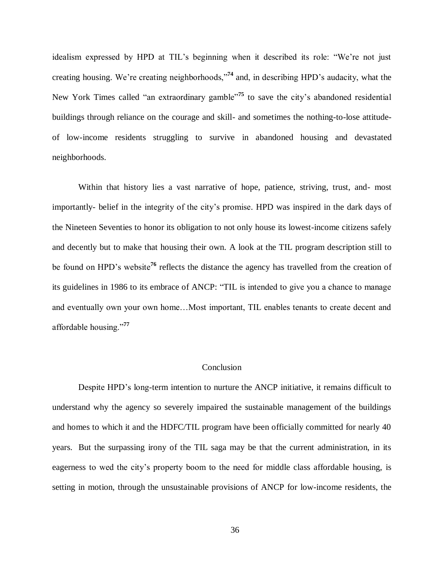idealism expressed by HPD at TIL's beginning when it described its role: "We're not just creating housing. We're creating neighborhoods,"**<sup>74</sup>** and, in describing HPD's audacity, what the New York Times called "an extraordinary gamble"<sup>75</sup> to save the city's abandoned residential buildings through reliance on the courage and skill- and sometimes the nothing-to-lose attitudeof low-income residents struggling to survive in abandoned housing and devastated neighborhoods.

Within that history lies a vast narrative of hope, patience, striving, trust, and- most importantly- belief in the integrity of the city's promise. HPD was inspired in the dark days of the Nineteen Seventies to honor its obligation to not only house its lowest-income citizens safely and decently but to make that housing their own. A look at the TIL program description still to be found on HPD's website**<sup>76</sup>** reflects the distance the agency has travelled from the creation of its guidelines in 1986 to its embrace of ANCP: "TIL is intended to give you a chance to manage and eventually own your own home…Most important, TIL enables tenants to create decent and affordable housing."**<sup>77</sup>**

#### Conclusion

Despite HPD's long-term intention to nurture the ANCP initiative, it remains difficult to understand why the agency so severely impaired the sustainable management of the buildings and homes to which it and the HDFC/TIL program have been officially committed for nearly 40 years. But the surpassing irony of the TIL saga may be that the current administration, in its eagerness to wed the city's property boom to the need for middle class affordable housing, is setting in motion, through the unsustainable provisions of ANCP for low-income residents, the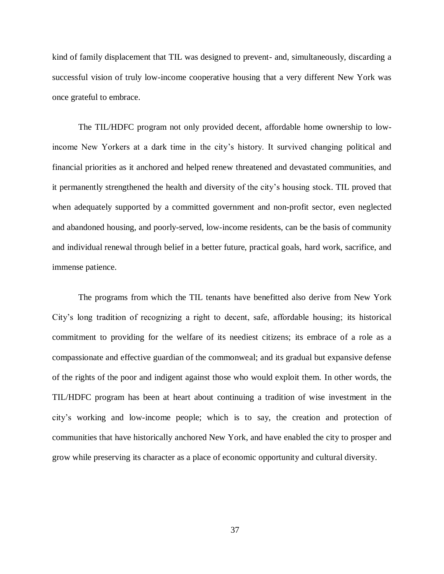kind of family displacement that TIL was designed to prevent- and, simultaneously, discarding a successful vision of truly low-income cooperative housing that a very different New York was once grateful to embrace.

The TIL/HDFC program not only provided decent, affordable home ownership to lowincome New Yorkers at a dark time in the city's history. It survived changing political and financial priorities as it anchored and helped renew threatened and devastated communities, and it permanently strengthened the health and diversity of the city's housing stock. TIL proved that when adequately supported by a committed government and non-profit sector, even neglected and abandoned housing, and poorly-served, low-income residents, can be the basis of community and individual renewal through belief in a better future, practical goals, hard work, sacrifice, and immense patience.

The programs from which the TIL tenants have benefitted also derive from New York City's long tradition of recognizing a right to decent, safe, affordable housing; its historical commitment to providing for the welfare of its neediest citizens; its embrace of a role as a compassionate and effective guardian of the commonweal; and its gradual but expansive defense of the rights of the poor and indigent against those who would exploit them. In other words, the TIL/HDFC program has been at heart about continuing a tradition of wise investment in the city's working and low-income people; which is to say, the creation and protection of communities that have historically anchored New York, and have enabled the city to prosper and grow while preserving its character as a place of economic opportunity and cultural diversity.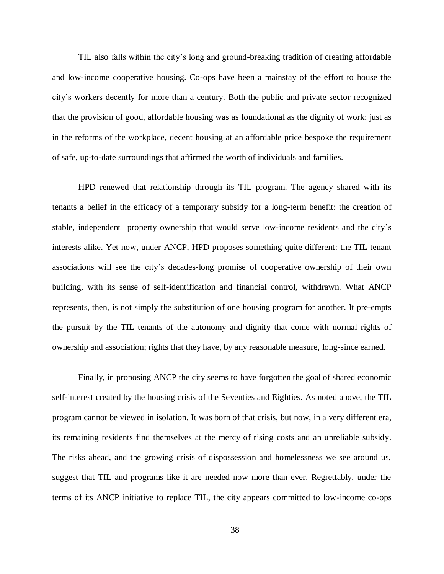TIL also falls within the city's long and ground-breaking tradition of creating affordable and low-income cooperative housing. Co-ops have been a mainstay of the effort to house the city's workers decently for more than a century. Both the public and private sector recognized that the provision of good, affordable housing was as foundational as the dignity of work; just as in the reforms of the workplace, decent housing at an affordable price bespoke the requirement of safe, up-to-date surroundings that affirmed the worth of individuals and families.

HPD renewed that relationship through its TIL program. The agency shared with its tenants a belief in the efficacy of a temporary subsidy for a long-term benefit: the creation of stable, independent property ownership that would serve low-income residents and the city's interests alike. Yet now, under ANCP, HPD proposes something quite different: the TIL tenant associations will see the city's decades-long promise of cooperative ownership of their own building, with its sense of self-identification and financial control, withdrawn. What ANCP represents, then, is not simply the substitution of one housing program for another. It pre-empts the pursuit by the TIL tenants of the autonomy and dignity that come with normal rights of ownership and association; rights that they have, by any reasonable measure, long-since earned.

Finally, in proposing ANCP the city seems to have forgotten the goal of shared economic self-interest created by the housing crisis of the Seventies and Eighties. As noted above, the TIL program cannot be viewed in isolation. It was born of that crisis, but now, in a very different era, its remaining residents find themselves at the mercy of rising costs and an unreliable subsidy. The risks ahead, and the growing crisis of dispossession and homelessness we see around us, suggest that TIL and programs like it are needed now more than ever. Regrettably, under the terms of its ANCP initiative to replace TIL, the city appears committed to low-income co-ops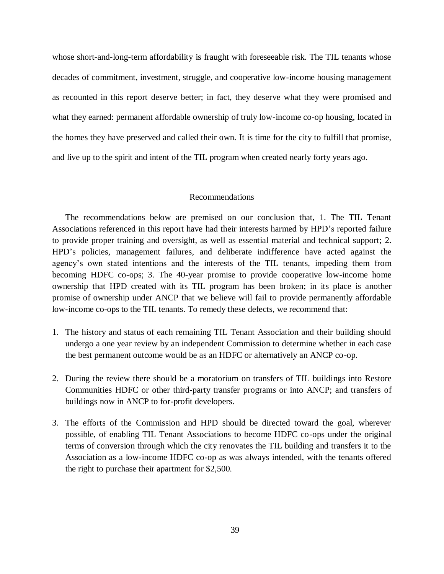whose short-and-long-term affordability is fraught with foreseeable risk. The TIL tenants whose decades of commitment, investment, struggle, and cooperative low-income housing management as recounted in this report deserve better; in fact, they deserve what they were promised and what they earned: permanent affordable ownership of truly low-income co-op housing, located in the homes they have preserved and called their own. It is time for the city to fulfill that promise, and live up to the spirit and intent of the TIL program when created nearly forty years ago.

#### Recommendations

The recommendations below are premised on our conclusion that, 1. The TIL Tenant Associations referenced in this report have had their interests harmed by HPD's reported failure to provide proper training and oversight, as well as essential material and technical support; 2. HPD's policies, management failures, and deliberate indifference have acted against the agency's own stated intentions and the interests of the TIL tenants, impeding them from becoming HDFC co-ops; 3. The 40-year promise to provide cooperative low-income home ownership that HPD created with its TIL program has been broken; in its place is another promise of ownership under ANCP that we believe will fail to provide permanently affordable low-income co-ops to the TIL tenants. To remedy these defects, we recommend that:

- 1. The history and status of each remaining TIL Tenant Association and their building should undergo a one year review by an independent Commission to determine whether in each case the best permanent outcome would be as an HDFC or alternatively an ANCP co-op.
- 2. During the review there should be a moratorium on transfers of TIL buildings into Restore Communities HDFC or other third-party transfer programs or into ANCP; and transfers of buildings now in ANCP to for-profit developers.
- 3. The efforts of the Commission and HPD should be directed toward the goal, wherever possible, of enabling TIL Tenant Associations to become HDFC co-ops under the original terms of conversion through which the city renovates the TIL building and transfers it to the Association as a low-income HDFC co-op as was always intended, with the tenants offered the right to purchase their apartment for \$2,500.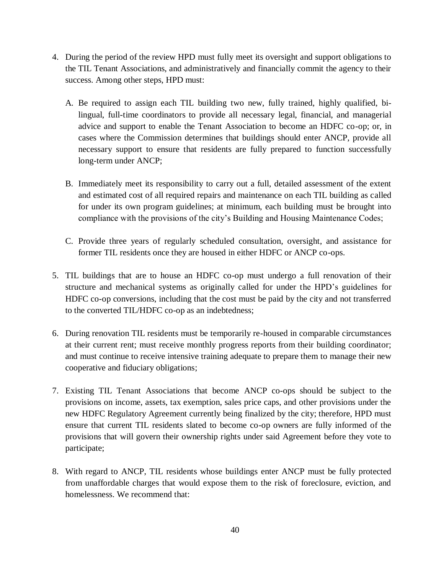- 4. During the period of the review HPD must fully meet its oversight and support obligations to the TIL Tenant Associations, and administratively and financially commit the agency to their success. Among other steps, HPD must:
	- A. Be required to assign each TIL building two new, fully trained, highly qualified, bilingual, full-time coordinators to provide all necessary legal, financial, and managerial advice and support to enable the Tenant Association to become an HDFC co-op; or, in cases where the Commission determines that buildings should enter ANCP, provide all necessary support to ensure that residents are fully prepared to function successfully long-term under ANCP;
	- B. Immediately meet its responsibility to carry out a full, detailed assessment of the extent and estimated cost of all required repairs and maintenance on each TIL building as called for under its own program guidelines; at minimum, each building must be brought into compliance with the provisions of the city's Building and Housing Maintenance Codes;
	- C. Provide three years of regularly scheduled consultation, oversight, and assistance for former TIL residents once they are housed in either HDFC or ANCP co-ops.
- 5. TIL buildings that are to house an HDFC co-op must undergo a full renovation of their structure and mechanical systems as originally called for under the HPD's guidelines for HDFC co-op conversions, including that the cost must be paid by the city and not transferred to the converted TIL/HDFC co-op as an indebtedness;
- 6. During renovation TIL residents must be temporarily re-housed in comparable circumstances at their current rent; must receive monthly progress reports from their building coordinator; and must continue to receive intensive training adequate to prepare them to manage their new cooperative and fiduciary obligations;
- 7. Existing TIL Tenant Associations that become ANCP co-ops should be subject to the provisions on income, assets, tax exemption, sales price caps, and other provisions under the new HDFC Regulatory Agreement currently being finalized by the city; therefore, HPD must ensure that current TIL residents slated to become co-op owners are fully informed of the provisions that will govern their ownership rights under said Agreement before they vote to participate;
- 8. With regard to ANCP, TIL residents whose buildings enter ANCP must be fully protected from unaffordable charges that would expose them to the risk of foreclosure, eviction, and homelessness. We recommend that: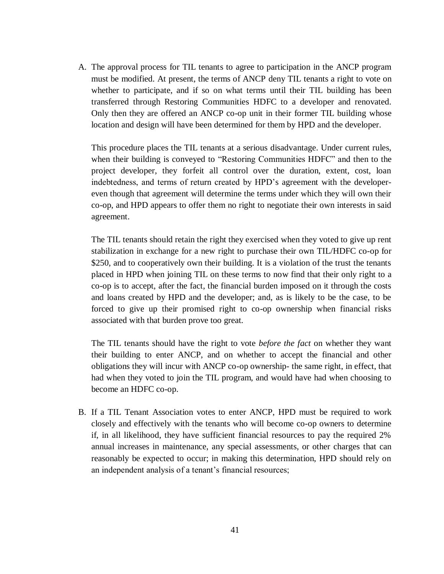A. The approval process for TIL tenants to agree to participation in the ANCP program must be modified. At present, the terms of ANCP deny TIL tenants a right to vote on whether to participate, and if so on what terms until their TIL building has been transferred through Restoring Communities HDFC to a developer and renovated. Only then they are offered an ANCP co-op unit in their former TIL building whose location and design will have been determined for them by HPD and the developer.

This procedure places the TIL tenants at a serious disadvantage. Under current rules, when their building is conveyed to "Restoring Communities HDFC" and then to the project developer, they forfeit all control over the duration, extent, cost, loan indebtedness, and terms of return created by HPD's agreement with the developereven though that agreement will determine the terms under which they will own their co-op, and HPD appears to offer them no right to negotiate their own interests in said agreement.

The TIL tenants should retain the right they exercised when they voted to give up rent stabilization in exchange for a new right to purchase their own TIL/HDFC co-op for \$250, and to cooperatively own their building. It is a violation of the trust the tenants placed in HPD when joining TIL on these terms to now find that their only right to a co-op is to accept, after the fact, the financial burden imposed on it through the costs and loans created by HPD and the developer; and, as is likely to be the case, to be forced to give up their promised right to co-op ownership when financial risks associated with that burden prove too great.

The TIL tenants should have the right to vote *before the fact* on whether they want their building to enter ANCP, and on whether to accept the financial and other obligations they will incur with ANCP co-op ownership- the same right, in effect, that had when they voted to join the TIL program, and would have had when choosing to become an HDFC co-op.

B. If a TIL Tenant Association votes to enter ANCP, HPD must be required to work closely and effectively with the tenants who will become co-op owners to determine if, in all likelihood, they have sufficient financial resources to pay the required 2% annual increases in maintenance, any special assessments, or other charges that can reasonably be expected to occur; in making this determination, HPD should rely on an independent analysis of a tenant's financial resources;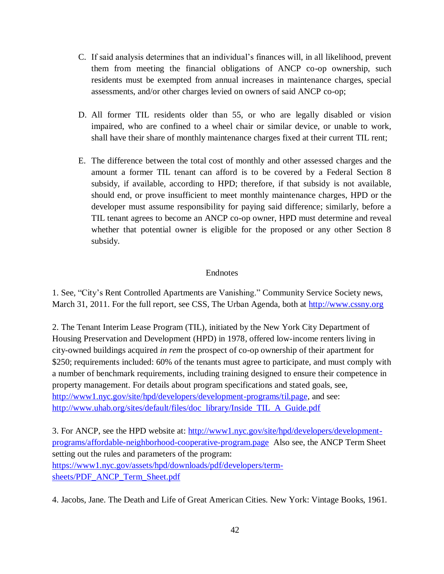- C. If said analysis determines that an individual's finances will, in all likelihood, prevent them from meeting the financial obligations of ANCP co-op ownership, such residents must be exempted from annual increases in maintenance charges, special assessments, and/or other charges levied on owners of said ANCP co-op;
- D. All former TIL residents older than 55, or who are legally disabled or vision impaired, who are confined to a wheel chair or similar device, or unable to work, shall have their share of monthly maintenance charges fixed at their current TIL rent;
- E. The difference between the total cost of monthly and other assessed charges and the amount a former TIL tenant can afford is to be covered by a Federal Section 8 subsidy, if available, according to HPD; therefore, if that subsidy is not available, should end, or prove insufficient to meet monthly maintenance charges, HPD or the developer must assume responsibility for paying said difference; similarly, before a TIL tenant agrees to become an ANCP co-op owner, HPD must determine and reveal whether that potential owner is eligible for the proposed or any other Section 8 subsidy.

### **Endnotes**

1. See, "City's Rent Controlled Apartments are Vanishing." Community Service Society news, March 31, 2011. For the full report, see CSS, The Urban Agenda, both at [http://www.cssny.org](http://www.cssny.org/)

2. The Tenant Interim Lease Program (TIL), initiated by the New York City Department of Housing Preservation and Development (HPD) in 1978, offered low-income renters living in city-owned buildings acquired *in rem* the prospect of co-op ownership of their apartment for \$250; requirements included: 60% of the tenants must agree to participate, and must comply with a number of benchmark requirements, including training designed to ensure their competence in property management. For details about program specifications and stated goals, see, [http://www1.nyc.gov/site/hpd/developers/development-programs/til.page,](http://www1.nyc.gov/site/hpd/developers/development-programs/til.page) and see: [http://www.uhab.org/sites/default/files/doc\\_library/Inside\\_TIL\\_A\\_Guide.pdf](http://www.uhab.org/sites/default/files/doc_library/Inside_TIL_A_Guide.pdf)

3. For ANCP, see the HPD website at: [http://www1.nyc.gov/site/hpd/developers/development](http://www1.nyc.gov/site/hpd/developers/development-programs/affordable-neighborhood-cooperative-program.page)[programs/affordable-neighborhood-cooperative-program.page](http://www1.nyc.gov/site/hpd/developers/development-programs/affordable-neighborhood-cooperative-program.page) Also see, the ANCP Term Sheet setting out the rules and parameters of the program: [https://www1.nyc.gov/assets/hpd/downloads/pdf/developers/term](https://www1.nyc.gov/assets/hpd/downloads/pdf/developers/term-sheets/PDF_ANCP_Term_Sheet.pdf)[sheets/PDF\\_ANCP\\_Term\\_Sheet.pdf](https://www1.nyc.gov/assets/hpd/downloads/pdf/developers/term-sheets/PDF_ANCP_Term_Sheet.pdf)

4. Jacobs, Jane. The Death and Life of Great American Cities. New York: Vintage Books, 1961.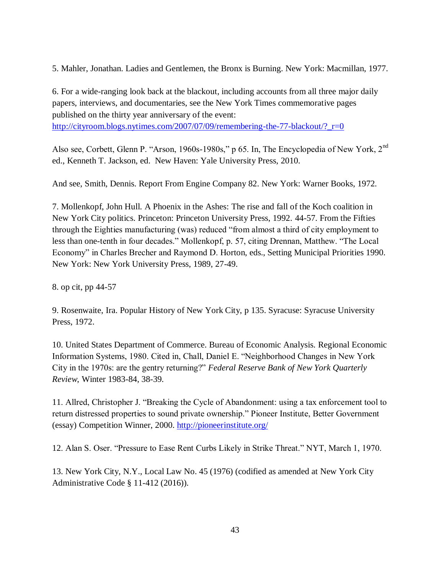5. Mahler, Jonathan. Ladies and Gentlemen, the Bronx is Burning. New York: Macmillan, 1977.

6. For a wide-ranging look back at the blackout, including accounts from all three major daily papers, interviews, and documentaries, see the New York Times commemorative pages published on the thirty year anniversary of the event:

[http://cityroom.blogs.nytimes.com/2007/07/09/remembering-the-77-blackout/?\\_r=0](http://cityroom.blogs.nytimes.com/2007/07/09/remembering-the-77-blackout/?_r=0)

Also see, Corbett, Glenn P. "Arson, 1960s-1980s," p 65. In, The Encyclopedia of New York, 2nd ed., Kenneth T. Jackson, ed. New Haven: Yale University Press, 2010.

And see, Smith, Dennis. Report From Engine Company 82. New York: Warner Books, 1972.

7. Mollenkopf, John Hull. A Phoenix in the Ashes: The rise and fall of the Koch coalition in New York City politics. Princeton: Princeton University Press, 1992. 44-57. From the Fifties through the Eighties manufacturing (was) reduced "from almost a third of city employment to less than one-tenth in four decades." Mollenkopf, p. 57, citing Drennan, Matthew. "The Local Economy" in Charles Brecher and Raymond D. Horton, eds., Setting Municipal Priorities 1990. New York: New York University Press, 1989, 27-49.

8. op cit, pp 44-57

9. Rosenwaite, Ira. Popular History of New York City, p 135. Syracuse: Syracuse University Press, 1972.

10. United States Department of Commerce. Bureau of Economic Analysis. Regional Economic Information Systems, 1980. Cited in, Chall, Daniel E. "Neighborhood Changes in New York City in the 1970s: are the gentry returning?" *Federal Reserve Bank of New York Quarterly Review*, Winter 1983-84, 38-39.

11. Allred, Christopher J. "Breaking the Cycle of Abandonment: using a tax enforcement tool to return distressed properties to sound private ownership." Pioneer Institute, Better Government (essay) Competition Winner, 2000.<http://pioneerinstitute.org/>

12. Alan S. Oser. "Pressure to Ease Rent Curbs Likely in Strike Threat." NYT, March 1, 1970.

13. New York City, N.Y., Local Law No. 45 (1976) (codified as amended at New York City Administrative Code § 11-412 (2016)).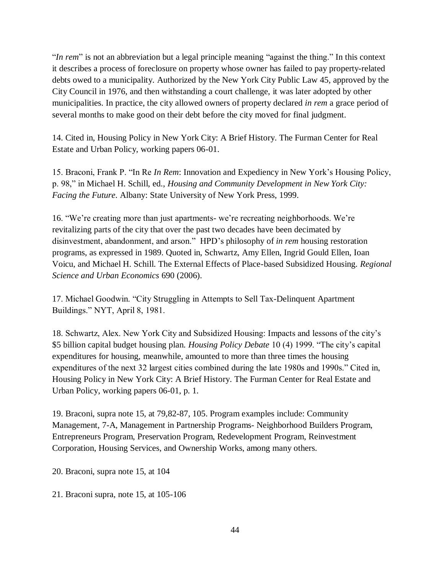"*In rem*" is not an abbreviation but a legal principle meaning "against the thing." In this context it describes a process of foreclosure on property whose owner has failed to pay property-related debts owed to a municipality. Authorized by the New York City Public Law 45, approved by the City Council in 1976, and then withstanding a court challenge, it was later adopted by other municipalities. In practice, the city allowed owners of property declared *in rem* a grace period of several months to make good on their debt before the city moved for final judgment.

14. Cited in, Housing Policy in New York City: A Brief History. The Furman Center for Real Estate and Urban Policy, working papers 06-01.

15. Braconi, Frank P. "In Re *In Rem*: Innovation and Expediency in New York's Housing Policy, p. 98," in Michael H. Schill, ed., *Housing and Community Development in New York City: Facing the Future*. Albany: State University of New York Press, 1999.

16. "We're creating more than just apartments- we're recreating neighborhoods. We're revitalizing parts of the city that over the past two decades have been decimated by disinvestment, abandonment, and arson." HPD's philosophy of *in rem* housing restoration programs, as expressed in 1989. Quoted in, Schwartz, Amy Ellen, Ingrid Gould Ellen, Ioan Voicu, and Michael H. Schill. The External Effects of Place-based Subsidized Housing. *Regional Science and Urban Economics* 690 (2006).

17. Michael Goodwin. "City Struggling in Attempts to Sell Tax-Delinquent Apartment Buildings." NYT, April 8, 1981.

18. Schwartz, Alex. New York City and Subsidized Housing: Impacts and lessons of the city's \$5 billion capital budget housing plan. *Housing Policy Debate* 10 (4) 1999. "The city's capital expenditures for housing, meanwhile, amounted to more than three times the housing expenditures of the next 32 largest cities combined during the late 1980s and 1990s." Cited in, Housing Policy in New York City: A Brief History. The Furman Center for Real Estate and Urban Policy, working papers 06-01, p. 1.

19. Braconi, supra note 15, at 79,82-87, 105. Program examples include: Community Management, 7-A, Management in Partnership Programs- Neighborhood Builders Program, Entrepreneurs Program, Preservation Program, Redevelopment Program, Reinvestment Corporation, Housing Services, and Ownership Works, among many others.

20. Braconi, supra note 15, at 104

21. Braconi supra, note 15, at 105-106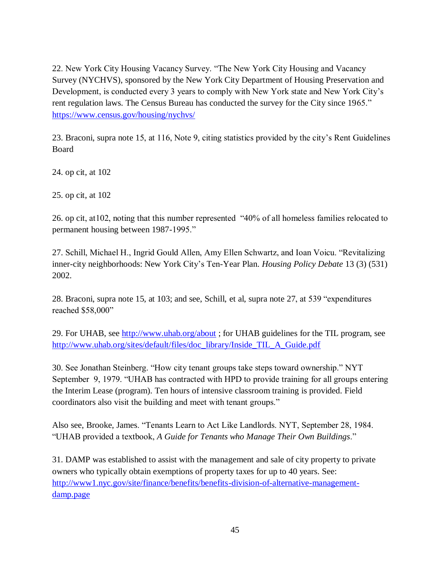22. New York City Housing Vacancy Survey. "The New York City Housing and Vacancy Survey (NYCHVS), sponsored by the New York City Department of Housing Preservation and Development, is conducted every 3 years to comply with New York state and New York City's rent regulation laws. The Census Bureau has conducted the survey for the City since 1965." <https://www.census.gov/housing/nychvs/>

23. Braconi, supra note 15, at 116, Note 9, citing statistics provided by the city's Rent Guidelines Board

24. op cit, at 102

25. op cit, at 102

26. op cit, at102, noting that this number represented "40% of all homeless families relocated to permanent housing between 1987-1995."

27. Schill, Michael H., Ingrid Gould Allen, Amy Ellen Schwartz, and Ioan Voicu. "Revitalizing inner-city neighborhoods: New York City's Ten-Year Plan. *Housing Policy Debate* 13 (3) (531) 2002.

28. Braconi, supra note 15, at 103; and see, Schill, et al, supra note 27, at 539 "expenditures reached \$58,000"

29. For UHAB, see<http://www.uhab.org/about> ; for UHAB guidelines for the TIL program, see [http://www.uhab.org/sites/default/files/doc\\_library/Inside\\_TIL\\_A\\_Guide.pdf](http://www.uhab.org/sites/default/files/doc_library/Inside_TIL_A_Guide.pdf)

30. See Jonathan Steinberg. "How city tenant groups take steps toward ownership." NYT September 9, 1979. "UHAB has contracted with HPD to provide training for all groups entering the Interim Lease (program). Ten hours of intensive classroom training is provided. Field coordinators also visit the building and meet with tenant groups."

Also see, Brooke, James. "Tenants Learn to Act Like Landlords. NYT, September 28, 1984. "UHAB provided a textbook, *A Guide for Tenants who Manage Their Own Buildings*."

31. DAMP was established to assist with the management and sale of city property to private owners who typically obtain exemptions of property taxes for up to 40 years. See: [http://www1.nyc.gov/site/finance/benefits/benefits-division-of-alternative-management](http://www1.nyc.gov/site/finance/benefits/benefits-division-of-alternative-management-damp.page)[damp.page](http://www1.nyc.gov/site/finance/benefits/benefits-division-of-alternative-management-damp.page)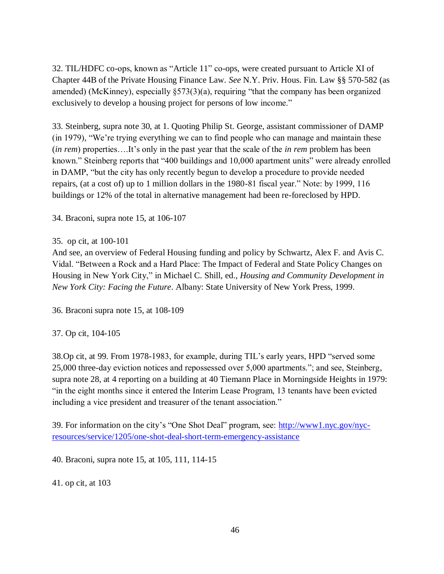32. TIL/HDFC co-ops, known as "Article 11" co-ops, were created pursuant to Article XI of Chapter 44B of the Private Housing Finance Law. *See* N.Y. Priv. Hous. Fin. Law §§ 570-582 (as amended) (McKinney), especially §573(3)(a), requiring "that the company has been organized exclusively to develop a housing project for persons of low income."

33. Steinberg, supra note 30, at 1. Quoting Philip St. George, assistant commissioner of DAMP (in 1979), "We're trying everything we can to find people who can manage and maintain these (*in rem*) properties….It's only in the past year that the scale of the *in rem* problem has been known." Steinberg reports that "400 buildings and 10,000 apartment units" were already enrolled in DAMP, "but the city has only recently begun to develop a procedure to provide needed repairs, (at a cost of) up to 1 million dollars in the 1980-81 fiscal year." Note: by 1999, 116 buildings or 12% of the total in alternative management had been re-foreclosed by HPD.

34. Braconi, supra note 15, at 106-107

#### 35. op cit, at 100-101

And see, an overview of Federal Housing funding and policy by Schwartz, Alex F. and Avis C. Vidal. "Between a Rock and a Hard Place: The Impact of Federal and State Policy Changes on Housing in New York City," in Michael C. Shill, ed., *Housing and Community Development in New York City: Facing the Future*. Albany: State University of New York Press, 1999.

36. Braconi supra note 15, at 108-109

37. Op cit, 104-105

38.Op cit, at 99. From 1978-1983, for example, during TIL's early years, HPD "served some 25,000 three-day eviction notices and repossessed over 5,000 apartments."; and see, Steinberg, supra note 28, at 4 reporting on a building at 40 Tiemann Place in Morningside Heights in 1979: "in the eight months since it entered the Interim Lease Program, 13 tenants have been evicted including a vice president and treasurer of the tenant association."

39. For information on the city's "One Shot Deal" program, see: [http://www1.nyc.gov/nyc](http://www1.nyc.gov/nyc-resources/service/1205/one-shot-deal-short-term-emergency-assistance)[resources/service/1205/one-shot-deal-short-term-emergency-assistance](http://www1.nyc.gov/nyc-resources/service/1205/one-shot-deal-short-term-emergency-assistance)

40. Braconi, supra note 15, at 105, 111, 114-15

41. op cit, at 103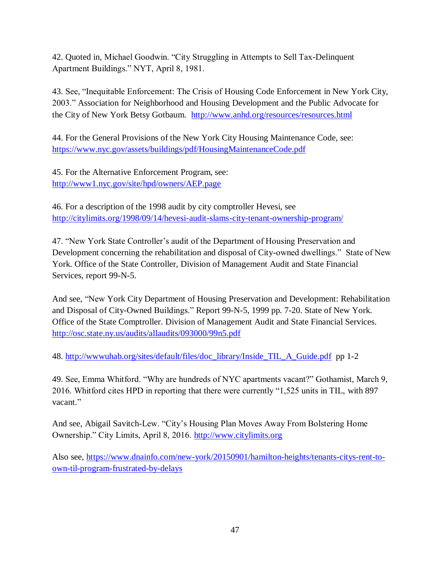42. Quoted in, Michael Goodwin. "City Struggling in Attempts to Sell Tax-Delinquent Apartment Buildings." NYT, April 8, 1981.

43. See, "Inequitable Enforcement: The Crisis of Housing Code Enforcement in New York City, 2003." Association for Neighborhood and Housing Development and the Public Advocate for the City of New York Betsy Gotbaum. <http://www.anhd.org/resources/resources.html>

44. For the General Provisions of the New York City Housing Maintenance Code, see: <https://www.nyc.gov/assets/buildings/pdf/HousingMaintenanceCode.pdf>

45. For the Alternative Enforcement Program, see: <http://www1.nyc.gov/site/hpd/owners/AEP.page>

46. For a description of the 1998 audit by city comptroller Hevesi, see <http://citylimits.org/1998/09/14/hevesi-audit-slams-city-tenant-ownership-program/>

47. "New York State Controller's audit of the Department of Housing Preservation and Development concerning the rehabilitation and disposal of City-owned dwellings." State of New York. Office of the State Controller, Division of Management Audit and State Financial Services, report 99-N-5.

And see, "New York City Department of Housing Preservation and Development: Rehabilitation and Disposal of City-Owned Buildings." Report 99-N-5, 1999 pp. 7-20. State of New York. Office of the State Comptroller. Division of Management Audit and State Financial Services. <http://osc.state.ny.us/audits/allaudits/093000/99n5.pdf>

48. [http://wwwuhab.org/sites/default/files/doc\\_library/Inside\\_TIL\\_A\\_Guide.pdf](http://wwwuhab.org/sites/default/files/doc_library/Inside_TIL_A_Guide.pdf) pp 1-2

49. See, Emma Whitford. "Why are hundreds of NYC apartments vacant?" Gothamist, March 9, 2016. Whitford cites HPD in reporting that there were currently "1,525 units in TIL, with 897 vacant."

And see, Abigail Savitch-Lew. "City's Housing Plan Moves Away From Bolstering Home Ownership." City Limits, April 8, 2016. [http://www.citylimits.org](http://www.citylimits.org/)

Also see, [https://www.dnainfo.com/new-york/20150901/hamilton-heights/tenants-citys-rent-to](https://www.dnainfo.com/new-york/20150901/hamilton-heights/tenants-citys-rent-to-own-til-program-frustrated-by-delays)[own-til-program-frustrated-by-delays](https://www.dnainfo.com/new-york/20150901/hamilton-heights/tenants-citys-rent-to-own-til-program-frustrated-by-delays)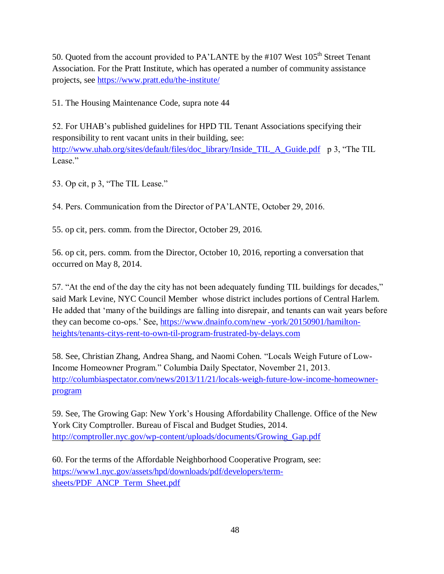50. Quoted from the account provided to PA'LANTE by the #107 West  $105<sup>th</sup>$  Street Tenant Association. For the Pratt Institute, which has operated a number of community assistance projects, see<https://www.pratt.edu/the-institute/>

51. The Housing Maintenance Code, supra note 44

52. For UHAB's published guidelines for HPD TIL Tenant Associations specifying their responsibility to rent vacant units in their building, see: [http://www.uhab.org/sites/default/files/doc\\_library/Inside\\_TIL\\_A\\_Guide.pdf](http://www.uhab.org/sites/default/files/doc_library/Inside_TIL_A_Guide.pdf) p 3, "The TIL Lease"

53. Op cit, p 3, "The TIL Lease."

54. Pers. Communication from the Director of PA'LANTE, October 29, 2016.

55. op cit, pers. comm. from the Director, October 29, 2016.

56. op cit, pers. comm. from the Director, October 10, 2016, reporting a conversation that occurred on May 8, 2014.

57. "At the end of the day the city has not been adequately funding TIL buildings for decades," said Mark Levine, NYC Council Member whose district includes portions of Central Harlem. He added that 'many of the buildings are falling into disrepair, and tenants can wait years before they can become co-ops.' See, [https://www.dnainfo.com/new -york/20150901/hamilton](https://www.dnainfo.com/new%20-york/20150901/hamilton-heights/tenants-citys-rent-to-own-til-program-frustrated-by-delays.com)[heights/tenants-citys-rent-to-own-til-program-frustrated-by-delays.com](https://www.dnainfo.com/new%20-york/20150901/hamilton-heights/tenants-citys-rent-to-own-til-program-frustrated-by-delays.com)

58. See, Christian Zhang, Andrea Shang, and Naomi Cohen. "Locals Weigh Future of Low-Income Homeowner Program." Columbia Daily Spectator, November 21, 2013. [http://columbiaspectator.com/news/2013/11/21/locals-weigh-future-low-income-homeowner](http://columbiaspectator.com/news/2013/11/21/locals-weigh-future-low-income-homeowner-program)[program](http://columbiaspectator.com/news/2013/11/21/locals-weigh-future-low-income-homeowner-program)

59. See, The Growing Gap: New York's Housing Affordability Challenge. Office of the New York City Comptroller. Bureau of Fiscal and Budget Studies, 2014. [http://comptroller.nyc.gov/wp-content/uploads/documents/Growing\\_Gap.pdf](http://comptroller.nyc.gov/wp-content/uploads/documents/Growing_Gap.pdf)

60. For the terms of the Affordable Neighborhood Cooperative Program, see: [https://www1.nyc.gov/assets/hpd/downloads/pdf/developers/term](https://www1.nyc.gov/assets/hpd/downloads/pdf/developers/term-sheets/PDF_ANCP_Term_Sheet.pdf)[sheets/PDF\\_ANCP\\_Term\\_Sheet.pdf](https://www1.nyc.gov/assets/hpd/downloads/pdf/developers/term-sheets/PDF_ANCP_Term_Sheet.pdf)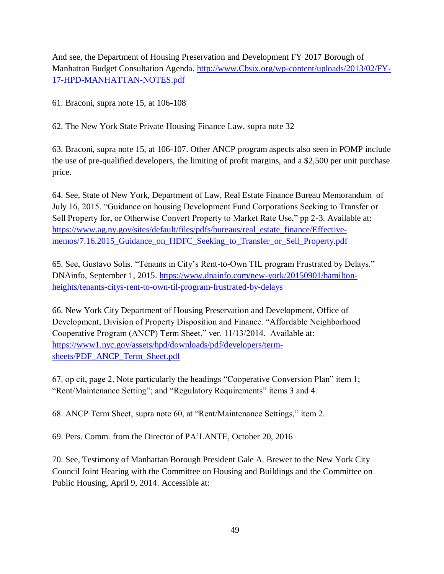And see, the Department of Housing Preservation and Development FY 2017 Borough of Manhattan Budget Consultation Agenda. [http://www.Cbsix.org/wp-content/uploads/2013/02/FY-](http://www.cbsix.org/wp-content/uploads/2013/02/FY-17-HPD-MANHATTAN-NOTES.pdf)[17-HPD-MANHATTAN-NOTES.pdf](http://www.cbsix.org/wp-content/uploads/2013/02/FY-17-HPD-MANHATTAN-NOTES.pdf)

61. Braconi, supra note 15, at 106-108

62. The New York State Private Housing Finance Law, supra note 32

63. Braconi, supra note 15, at 106-107. Other ANCP program aspects also seen in POMP include the use of pre-qualified developers, the limiting of profit margins, and a \$2,500 per unit purchase price.

64. See, State of New York, Department of Law, Real Estate Finance Bureau Memorandum of July 16, 2015. "Guidance on housing Development Fund Corporations Seeking to Transfer or Sell Property for, or Otherwise Convert Property to Market Rate Use," pp 2-3. Available at: [https://www.ag.ny.gov/sites/default/files/pdfs/bureaus/real\\_estate\\_finance/Effective](https://www.ag.ny.gov/sites/default/files/pdfs/bureaus/real_estate_finance/Effective-memos/7.16.2015_Guidance_on_HDFC_Seeking_to_Transfer_or_Sell_Property.pdf)[memos/7.16.2015\\_Guidance\\_on\\_HDFC\\_Seeking\\_to\\_Transfer\\_or\\_Sell\\_Property.pdf](https://www.ag.ny.gov/sites/default/files/pdfs/bureaus/real_estate_finance/Effective-memos/7.16.2015_Guidance_on_HDFC_Seeking_to_Transfer_or_Sell_Property.pdf)

65. See, Gustavo Solis. "Tenants in City's Rent-to-Own TIL program Frustrated by Delays." DNAinfo, September 1, 2015. [https://www.dnainfo.com/new-york/20150901/hamilton](https://www.dnainfo.com/new-york/20150901/hamilton-heights/tenants-citys-rent-to-own-til-program-frustrated-by-delays)[heights/tenants-citys-rent-to-own-til-program-frustrated-by-delays](https://www.dnainfo.com/new-york/20150901/hamilton-heights/tenants-citys-rent-to-own-til-program-frustrated-by-delays)

66. New York City Department of Housing Preservation and Development, Office of Development, Division of Property Disposition and Finance. "Affordable Neighborhood Cooperative Program (ANCP) Term Sheet," ver. 11/13/2014. Available at: [https://www1.nyc.gov/assets/hpd/downloads/pdf/developers/term](https://www1.nyc.gov/assets/hpd/downloads/pdf/developers/term-sheets/PDF_ANCP_Term_Sheet.pdf)[sheets/PDF\\_ANCP\\_Term\\_Sheet.pdf](https://www1.nyc.gov/assets/hpd/downloads/pdf/developers/term-sheets/PDF_ANCP_Term_Sheet.pdf)

67. op cit, page 2. Note particularly the headings "Cooperative Conversion Plan" item 1; "Rent/Maintenance Setting"; and "Regulatory Requirements" items 3 and 4.

68. ANCP Term Sheet, supra note 60, at "Rent/Maintenance Settings," item 2.

69. Pers. Comm. from the Director of PA'LANTE, October 20, 2016

70. See, Testimony of Manhattan Borough President Gale A. Brewer to the New York City Council Joint Hearing with the Committee on Housing and Buildings and the Committee on Public Housing, April 9, 2014. Accessible at: